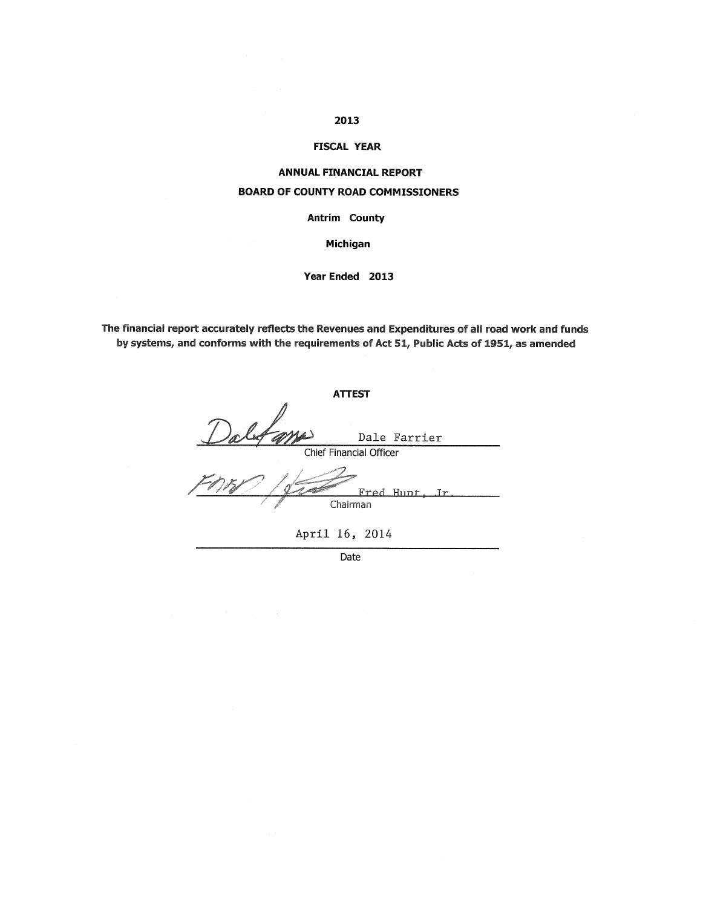### 2013

### **FISCAL YEAR**

## **ANNUAL FINANCIAL REPORT BOARD OF COUNTY ROAD COMMISSIONERS**

Antrim County

Michigan

Year Ended 2013

The financial report accurately reflects the Revenues and Expenditures of all road work and funds by systems, and conforms with the requirements of Act 51, Public Acts of 1951, as amended

**ATTEST** Dalfame Dale Farrier Chief Financial Officer  $Ir$ Fred  $Hint$  $\overline{Chairman}$ April 16, 2014

Date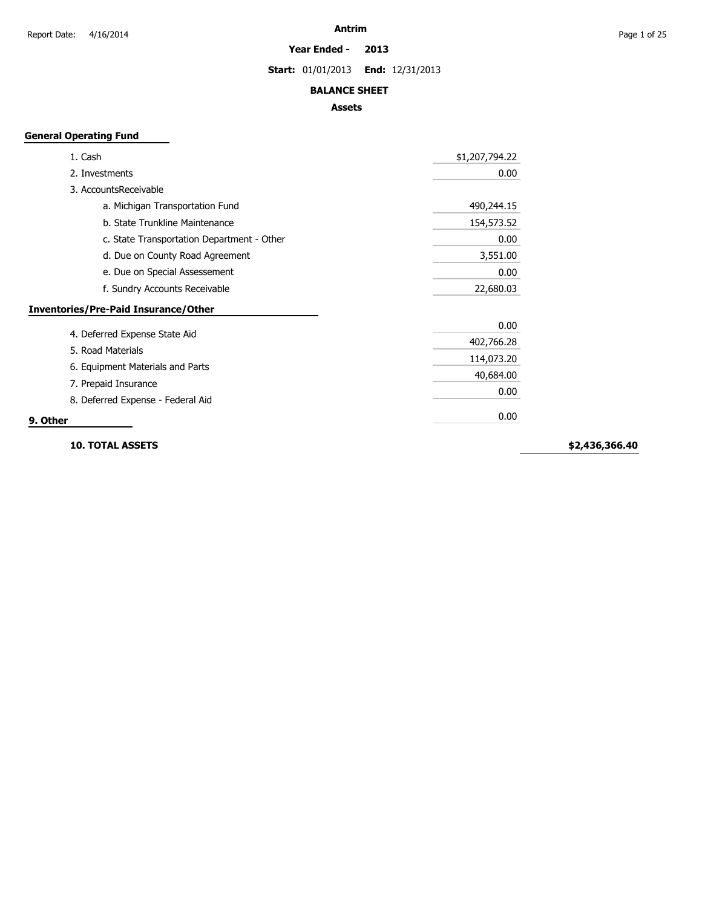**Year Ended - 2013**

**Start:** 01/01/2013 **End:** 12/31/2013

### **BALANCE SHEET**

### **Assets**

### **General Operating Fund**

| 1. Cash                                     | \$1,207,794.22 |
|---------------------------------------------|----------------|
| 2. Investments                              | 0.00           |
| 3. AccountsReceivable                       |                |
| a. Michigan Transportation Fund             | 490,244.15     |
| b. State Trunkline Maintenance              | 154,573.52     |
| c. State Transportation Department - Other  | 0.00           |
| d. Due on County Road Agreement             | 3,551.00       |
| e. Due on Special Assessement               | 0.00           |
| f. Sundry Accounts Receivable               | 22,680.03      |
| <b>Inventories/Pre-Paid Insurance/Other</b> |                |
|                                             | 0.00           |
| 4. Deferred Expense State Aid               | 402,766.28     |
| 5. Road Materials                           | 114,073.20     |
| 6. Equipment Materials and Parts            | 40,684.00      |
| 7. Prepaid Insurance                        | 0.00           |
| 8. Deferred Expense - Federal Aid           |                |
| 9. Other                                    | 0.00           |

**10. TOTAL ASSETS**

**\$2,436,366.40**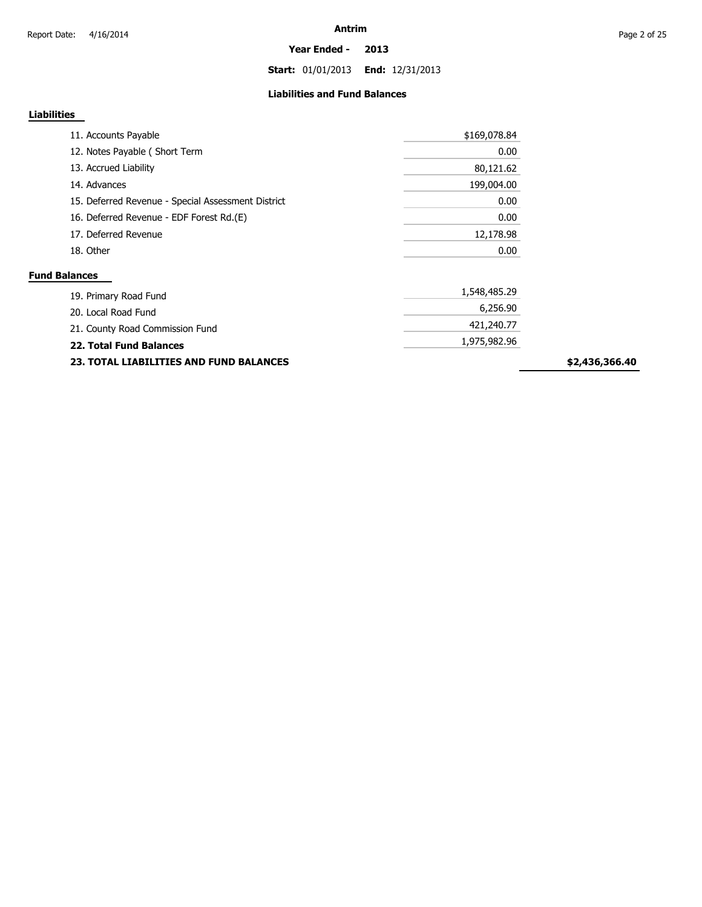**Year Ended - 2013**

**Start:** 01/01/2013 **End:** 12/31/2013

### **Liabilities and Fund Balances**

### **Liabilities**

| 11. Accounts Payable                               | \$169,078.84 |
|----------------------------------------------------|--------------|
| 12. Notes Payable (Short Term                      | 0.00         |
| 13. Accrued Liability                              | 80,121.62    |
| 14. Advances                                       | 199,004.00   |
| 15. Deferred Revenue - Special Assessment District | 0.00         |
| 16. Deferred Revenue - EDF Forest Rd.(E)           | 0.00         |
| 17. Deferred Revenue                               | 12,178.98    |
| 18. Other                                          | 0.00         |
| <b>Fund Balances</b>                               |              |
| 10 Driman Doad Fund                                | 1,548,485.29 |

| 19. Primary Road Fund           | $-1011001$   |
|---------------------------------|--------------|
| 20. Local Road Fund             | 6,256.90     |
| 21. County Road Commission Fund | 421,240,77   |
| 22. Total Fund Balances         | 1,975,982.96 |
|                                 |              |

**23. TOTAL LIABILITIES AND FUND BALANCES**

**\$2,436,366.40**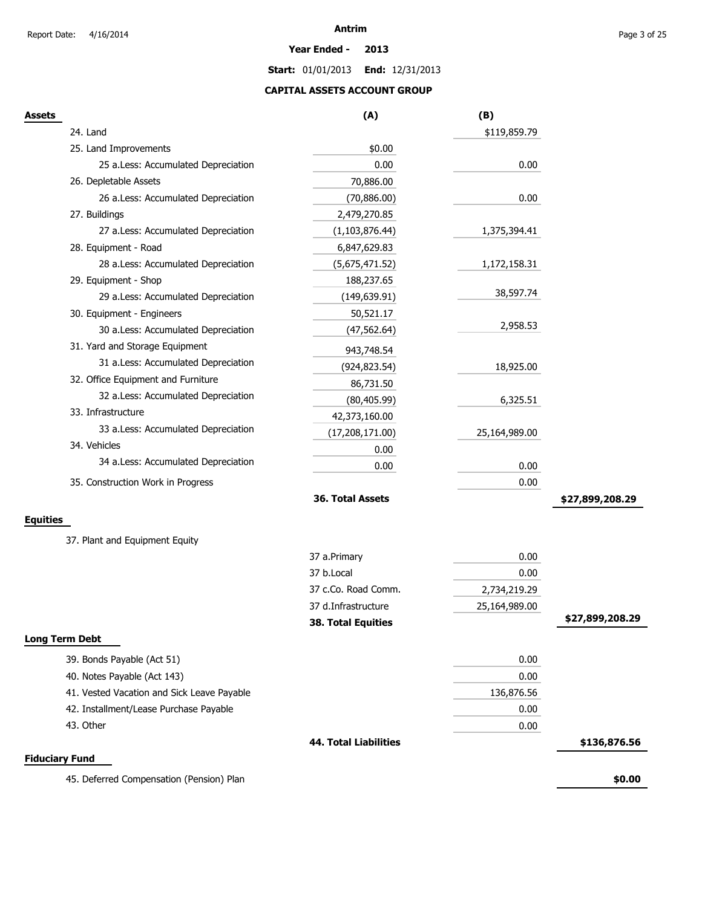#### **Year Ended - 2013**

**Start:** 01/01/2013 **End:** 12/31/2013

### **CAPITAL ASSETS ACCOUNT GROUP**

| Assets                                     | (A)                          | (B)           |                 |
|--------------------------------------------|------------------------------|---------------|-----------------|
| 24. Land                                   |                              | \$119,859.79  |                 |
| 25. Land Improvements                      | \$0.00                       |               |                 |
| 25 a.Less: Accumulated Depreciation        | 0.00                         | 0.00          |                 |
| 26. Depletable Assets                      | 70,886.00                    |               |                 |
| 26 a.Less: Accumulated Depreciation        | (70, 886.00)                 | 0.00          |                 |
| 27. Buildings                              | 2,479,270.85                 |               |                 |
| 27 a.Less: Accumulated Depreciation        | (1, 103, 876.44)             | 1,375,394.41  |                 |
| 28. Equipment - Road                       | 6,847,629.83                 |               |                 |
| 28 a.Less: Accumulated Depreciation        | (5,675,471.52)               | 1,172,158.31  |                 |
| 29. Equipment - Shop                       | 188,237.65                   |               |                 |
| 29 a.Less: Accumulated Depreciation        | (149, 639.91)                | 38,597.74     |                 |
| 30. Equipment - Engineers                  | 50,521.17                    |               |                 |
| 30 a.Less: Accumulated Depreciation        | (47, 562.64)                 | 2,958.53      |                 |
| 31. Yard and Storage Equipment             | 943,748.54                   |               |                 |
| 31 a.Less: Accumulated Depreciation        | (924, 823.54)                | 18,925.00     |                 |
| 32. Office Equipment and Furniture         | 86,731.50                    |               |                 |
| 32 a.Less: Accumulated Depreciation        | (80, 405.99)                 | 6,325.51      |                 |
| 33. Infrastructure                         | 42,373,160.00                |               |                 |
| 33 a.Less: Accumulated Depreciation        | (17, 208, 171.00)            | 25,164,989.00 |                 |
| 34. Vehicles                               | 0.00                         |               |                 |
| 34 a.Less: Accumulated Depreciation        | 0.00                         | 0.00          |                 |
| 35. Construction Work in Progress          |                              | 0.00          |                 |
|                                            | 36. Total Assets             |               | \$27,899,208.29 |
| <b>Equities</b>                            |                              |               |                 |
| 37. Plant and Equipment Equity             |                              |               |                 |
|                                            | 37 a.Primary                 | 0.00          |                 |
|                                            | 37 b.Local                   | 0.00          |                 |
|                                            | 37 c.Co. Road Comm.          | 2,734,219.29  |                 |
|                                            | 37 d.Infrastructure          | 25,164,989.00 |                 |
|                                            | <b>38. Total Equities</b>    |               | \$27,899,208.29 |
| <b>Long Term Debt</b>                      |                              |               |                 |
| 39. Bonds Payable (Act 51)                 |                              | 0.00          |                 |
| 40. Notes Payable (Act 143)                |                              | 0.00          |                 |
| 41. Vested Vacation and Sick Leave Payable |                              | 136,876.56    |                 |
| 42. Installment/Lease Purchase Payable     |                              | 0.00          |                 |
| 43. Other                                  |                              | 0.00          |                 |
|                                            | <b>44. Total Liabilities</b> |               | \$136,876.56    |
| <b>Fiduciary Fund</b>                      |                              |               |                 |
| 45. Deferred Compensation (Pension) Plan   |                              |               | \$0.00          |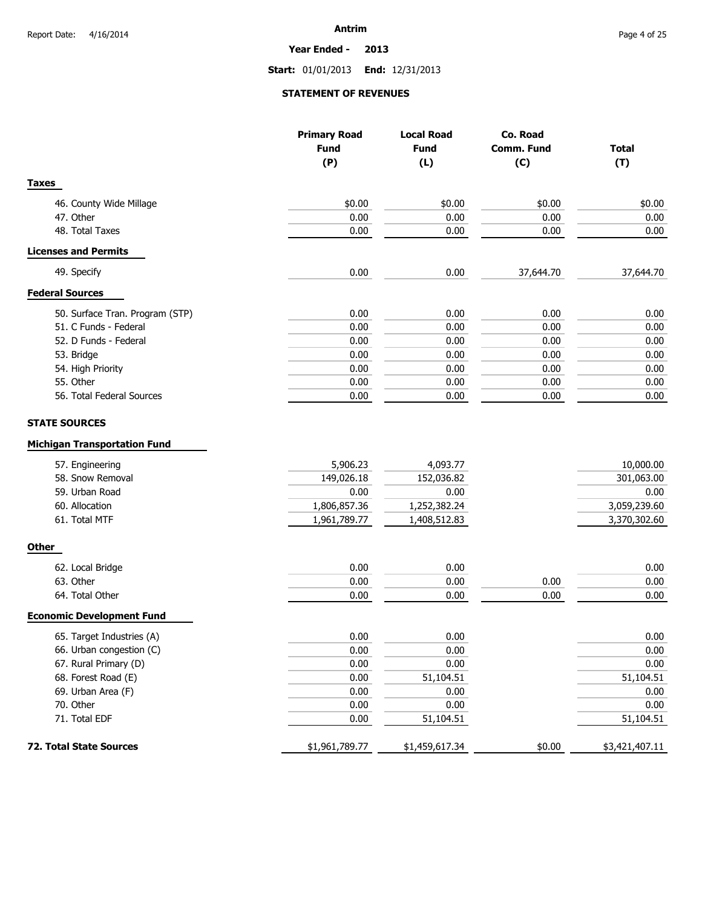**Year Ended - 2013**

**Start:** 01/01/2013 **End:** 12/31/2013

### **STATEMENT OF REVENUES**

|                                                                                                                                                         | <b>Primary Road</b><br><b>Fund</b><br>(P)                      | <b>Local Road</b><br><b>Fund</b><br>(L)                        | Co. Road<br><b>Comm. Fund</b><br>(C) | <b>Total</b><br>(T)                                             |
|---------------------------------------------------------------------------------------------------------------------------------------------------------|----------------------------------------------------------------|----------------------------------------------------------------|--------------------------------------|-----------------------------------------------------------------|
| <b>Taxes</b>                                                                                                                                            |                                                                |                                                                |                                      |                                                                 |
| 46. County Wide Millage                                                                                                                                 | \$0.00                                                         | \$0.00                                                         | \$0.00                               | \$0.00                                                          |
| 47. Other                                                                                                                                               | 0.00                                                           | 0.00                                                           | 0.00                                 | 0.00                                                            |
| 48. Total Taxes                                                                                                                                         | 0.00                                                           | 0.00                                                           | 0.00                                 | 0.00                                                            |
| <b>Licenses and Permits</b>                                                                                                                             |                                                                |                                                                |                                      |                                                                 |
| 49. Specify                                                                                                                                             | 0.00                                                           | 0.00                                                           | 37,644.70                            | 37,644.70                                                       |
| <b>Federal Sources</b>                                                                                                                                  |                                                                |                                                                |                                      |                                                                 |
| 50. Surface Tran. Program (STP)                                                                                                                         | 0.00                                                           | 0.00                                                           | 0.00                                 | 0.00                                                            |
| 51. C Funds - Federal                                                                                                                                   | 0.00                                                           | 0.00                                                           | 0.00                                 | 0.00                                                            |
| 52. D Funds - Federal                                                                                                                                   | 0.00                                                           | 0.00                                                           | 0.00                                 | 0.00                                                            |
| 53. Bridge                                                                                                                                              | 0.00                                                           | 0.00                                                           | 0.00                                 | 0.00                                                            |
| 54. High Priority                                                                                                                                       | 0.00                                                           | 0.00                                                           | 0.00                                 | 0.00                                                            |
| 55. Other                                                                                                                                               | 0.00                                                           | 0.00                                                           | 0.00                                 | 0.00                                                            |
| 56. Total Federal Sources                                                                                                                               | 0.00                                                           | 0.00                                                           | 0.00                                 | 0.00                                                            |
|                                                                                                                                                         |                                                                |                                                                |                                      |                                                                 |
| <b>STATE SOURCES</b><br><b>Michigan Transportation Fund</b><br>57. Engineering<br>58. Snow Removal<br>59. Urban Road<br>60. Allocation<br>61. Total MTF | 5,906.23<br>149,026.18<br>0.00<br>1,806,857.36<br>1,961,789.77 | 4,093.77<br>152,036.82<br>0.00<br>1,252,382.24<br>1,408,512.83 |                                      | 10,000.00<br>301,063.00<br>0.00<br>3,059,239.60<br>3,370,302.60 |
| <b>Other</b>                                                                                                                                            |                                                                |                                                                |                                      |                                                                 |
| 62. Local Bridge                                                                                                                                        | 0.00                                                           | 0.00                                                           |                                      | 0.00                                                            |
| 63. Other                                                                                                                                               | 0.00                                                           | 0.00                                                           | 0.00                                 | 0.00                                                            |
| 64. Total Other                                                                                                                                         | 0.00                                                           | 0.00                                                           | 0.00                                 | 0.00                                                            |
| <b>Economic Development Fund</b>                                                                                                                        |                                                                |                                                                |                                      |                                                                 |
| 65. Target Industries (A)                                                                                                                               | 0.00                                                           | 0.00                                                           |                                      | 0.00                                                            |
| 66. Urban congestion (C)                                                                                                                                | 0.00                                                           | 0.00                                                           |                                      | $0.00\,$                                                        |
| 67. Rural Primary (D)                                                                                                                                   | 0.00                                                           | 0.00                                                           |                                      | 0.00                                                            |
| 68. Forest Road (E)                                                                                                                                     | 0.00                                                           | 51,104.51                                                      |                                      | 51,104.51                                                       |
| 69. Urban Area (F)                                                                                                                                      | 0.00                                                           | 0.00                                                           |                                      | 0.00                                                            |
| 70. Other                                                                                                                                               | 0.00                                                           | 0.00                                                           |                                      | 0.00                                                            |
| 71. Total EDF                                                                                                                                           | 0.00                                                           | 51,104.51                                                      |                                      | 51,104.51                                                       |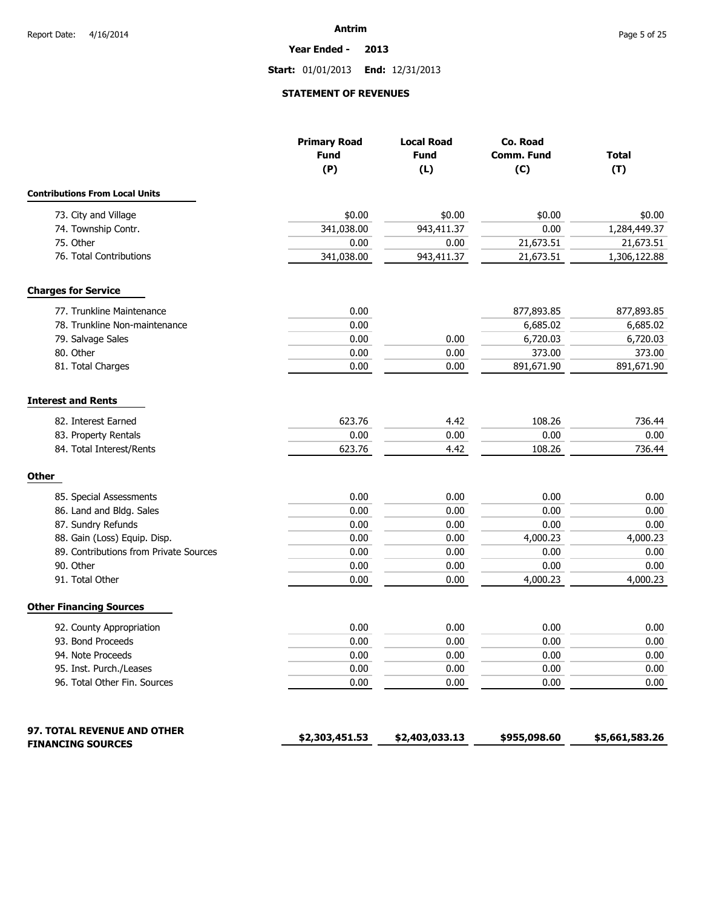**Year Ended - 2013**

**Start:** 01/01/2013 **End:** 12/31/2013

### **STATEMENT OF REVENUES**

|                                        | <b>Primary Road</b><br><b>Fund</b><br>(P) | <b>Local Road</b><br><b>Fund</b><br>(L) | Co. Road<br><b>Comm. Fund</b><br>(C) | <b>Total</b><br>(T) |
|----------------------------------------|-------------------------------------------|-----------------------------------------|--------------------------------------|---------------------|
| <b>Contributions From Local Units</b>  |                                           |                                         |                                      |                     |
| 73. City and Village                   | \$0.00                                    | \$0.00                                  | \$0.00                               | \$0.00              |
| 74. Township Contr.                    | 341,038.00                                | 943,411.37                              | 0.00                                 | 1,284,449.37        |
| 75. Other                              | 0.00                                      | 0.00                                    | 21,673.51                            | 21,673.51           |
| 76. Total Contributions                | 341,038.00                                | 943,411.37                              | 21,673.51                            | 1,306,122.88        |
| <b>Charges for Service</b>             |                                           |                                         |                                      |                     |
| 77. Trunkline Maintenance              | 0.00                                      |                                         | 877,893.85                           | 877,893.85          |
| 78. Trunkline Non-maintenance          | 0.00                                      |                                         | 6,685.02                             | 6,685.02            |
| 79. Salvage Sales                      | 0.00                                      | 0.00                                    | 6,720.03                             | 6,720.03            |
| 80. Other                              | 0.00                                      | 0.00                                    | 373.00                               | 373.00              |
| 81. Total Charges                      | 0.00                                      | 0.00                                    | 891,671.90                           | 891,671.90          |
| <b>Interest and Rents</b>              |                                           |                                         |                                      |                     |
| 82. Interest Earned                    | 623.76                                    | 4.42                                    | 108.26                               | 736.44              |
| 83. Property Rentals                   | 0.00                                      | 0.00                                    | 0.00                                 | 0.00                |
| 84. Total Interest/Rents               | 623.76                                    | 4.42                                    | 108.26                               | 736.44              |
| <b>Other</b>                           |                                           |                                         |                                      |                     |
| 85. Special Assessments                | 0.00                                      | 0.00                                    | 0.00                                 | 0.00                |
| 86. Land and Bldg. Sales               | 0.00                                      | 0.00                                    | 0.00                                 | 0.00                |
| 87. Sundry Refunds                     | 0.00                                      | 0.00                                    | 0.00                                 | 0.00                |
| 88. Gain (Loss) Equip. Disp.           | 0.00                                      | 0.00                                    | 4,000.23                             | 4,000.23            |
| 89. Contributions from Private Sources | 0.00                                      | 0.00                                    | 0.00                                 | 0.00                |
| 90. Other                              | 0.00                                      | 0.00                                    | 0.00                                 | 0.00                |
| 91. Total Other                        | 0.00                                      | 0.00                                    | 4,000.23                             | 4,000.23            |
| <b>Other Financing Sources</b>         |                                           |                                         |                                      |                     |
| 92. County Appropriation               | 0.00                                      | 0.00                                    | 0.00                                 | 0.00                |
| 93. Bond Proceeds                      | 0.00                                      | 0.00                                    | 0.00                                 | 0.00                |
| 94. Note Proceeds                      | 0.00                                      | 0.00                                    | 0.00                                 | $0.00\,$            |
| 95. Inst. Purch./Leases                | 0.00                                      | 0.00                                    | 0.00                                 | 0.00                |
| 96. Total Other Fin. Sources           | 0.00                                      | 0.00                                    | 0.00                                 | 0.00                |
| <b>97. TOTAL REVENUE AND OTHER</b>     | \$2,303,451.53                            | \$2,403,033.13                          | \$955,098.60                         | \$5,661,583.26      |
| <b>FINANCING SOURCES</b>               |                                           |                                         |                                      |                     |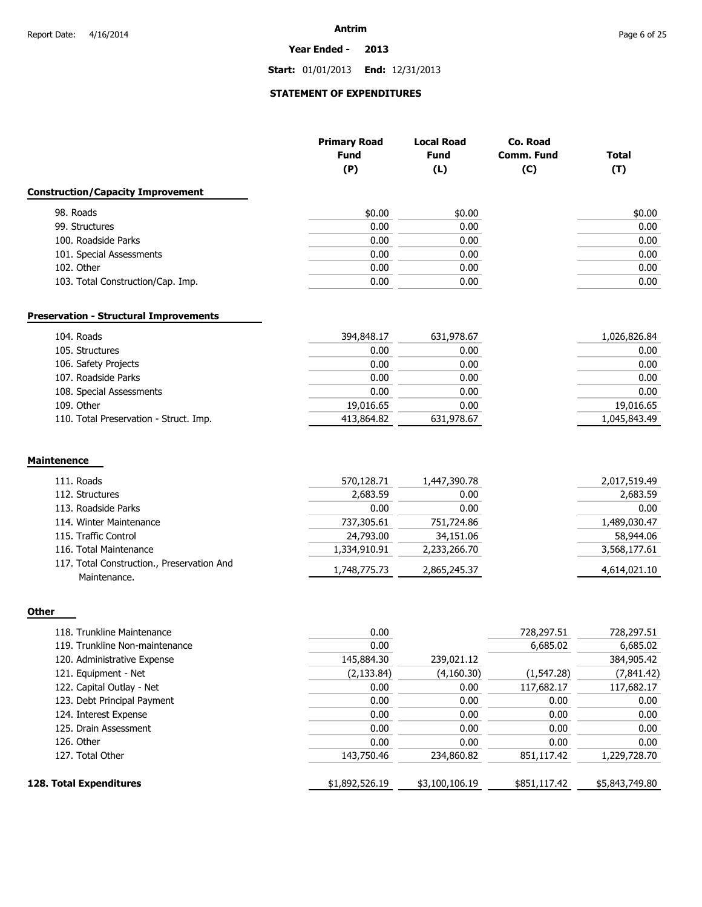**Year Ended - 2013**

**Start:** 01/01/2013 **End:** 12/31/2013

## **STATEMENT OF EXPENDITURES**

|                                                            | <b>Primary Road</b><br><b>Fund</b><br>(P) | <b>Local Road</b><br><b>Fund</b><br>(L) | Co. Road<br>Comm. Fund<br>(C) | <b>Total</b><br>(T) |
|------------------------------------------------------------|-------------------------------------------|-----------------------------------------|-------------------------------|---------------------|
| <b>Construction/Capacity Improvement</b>                   |                                           |                                         |                               |                     |
| 98. Roads                                                  | \$0.00                                    | \$0.00                                  |                               | \$0.00              |
| 99. Structures                                             | 0.00                                      | 0.00                                    |                               | 0.00                |
| 100. Roadside Parks                                        | 0.00                                      | 0.00                                    |                               | 0.00                |
| 101. Special Assessments                                   | 0.00                                      | 0.00                                    |                               | 0.00                |
| 102. Other                                                 | 0.00                                      | 0.00                                    |                               | 0.00                |
| 103. Total Construction/Cap. Imp.                          | 0.00                                      | 0.00                                    |                               | 0.00                |
| <b>Preservation - Structural Improvements</b>              |                                           |                                         |                               |                     |
| 104. Roads                                                 | 394,848.17                                | 631,978.67                              |                               | 1,026,826.84        |
| 105. Structures                                            | 0.00                                      | 0.00                                    |                               | 0.00                |
| 106. Safety Projects                                       | 0.00                                      | 0.00                                    |                               | 0.00                |
| 107. Roadside Parks                                        | 0.00                                      | 0.00                                    |                               | 0.00                |
| 108. Special Assessments                                   | 0.00                                      | 0.00                                    |                               | 0.00                |
| 109. Other                                                 | 19,016.65                                 | 0.00                                    |                               | 19,016.65           |
| 110. Total Preservation - Struct. Imp.                     | 413,864.82                                | 631,978.67                              |                               | 1,045,843.49        |
| <b>Maintenence</b>                                         |                                           |                                         |                               |                     |
| 111. Roads                                                 | 570,128.71                                | 1,447,390.78                            |                               | 2,017,519.49        |
| 112. Structures                                            | 2,683.59                                  | 0.00                                    |                               | 2,683.59            |
| 113. Roadside Parks                                        | 0.00                                      | 0.00                                    |                               | 0.00                |
| 114. Winter Maintenance                                    | 737,305.61                                | 751,724.86                              |                               | 1,489,030.47        |
| 115. Traffic Control                                       | 24,793.00                                 | 34,151.06                               |                               | 58,944.06           |
| 116. Total Maintenance                                     | 1,334,910.91                              | 2,233,266.70                            |                               | 3,568,177.61        |
| 117. Total Construction., Preservation And<br>Maintenance. | 1,748,775.73                              | 2,865,245.37                            |                               | 4,614,021.10        |
| Other                                                      |                                           |                                         |                               |                     |

| 118. Trunkline Maintenance     | 0.00           |                | 728,297.51   | 728,297.51     |
|--------------------------------|----------------|----------------|--------------|----------------|
| 119. Trunkline Non-maintenance | 0.00           |                | 6,685.02     | 6,685.02       |
| 120. Administrative Expense    | 145,884.30     | 239,021.12     |              | 384,905.42     |
| 121. Equipment - Net           | (2, 133.84)    | (4,160.30)     | (1, 547.28)  | (7,841.42)     |
| 122. Capital Outlay - Net      | 0.00           | 0.00           | 117,682.17   | 117,682.17     |
| 123. Debt Principal Payment    | 0.00           | 0.00           | 0.00         | 0.00           |
| 124. Interest Expense          | 0.00           | 0.00           | 0.00         | 0.00           |
| 125. Drain Assessment          | 0.00           | 0.00           | 0.00         | 0.00           |
| 126. Other                     | 0.00           | 0.00           | 0.00         | 0.00           |
| 127. Total Other               | 143,750.46     | 234,860.82     | 851,117.42   | 1,229,728.70   |
| 128. Total Expenditures        | \$1,892,526.19 | \$3,100,106.19 | \$851,117.42 | \$5,843,749.80 |
|                                |                |                |              |                |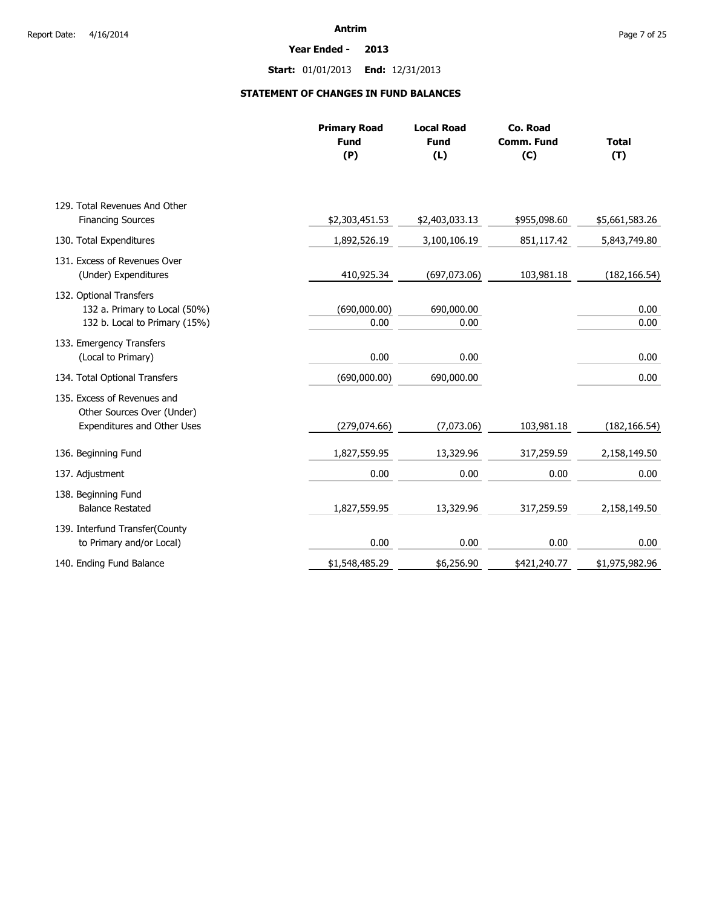**Year Ended - 2013**

**Start:** 01/01/2013 **End:** 12/31/2013

### **STATEMENT OF CHANGES IN FUND BALANCES**

|                                                                                           | <b>Primary Road</b><br><b>Fund</b><br>(P) | <b>Local Road</b><br><b>Fund</b><br>(L) | Co. Road<br><b>Comm. Fund</b><br>(C) | <b>Total</b><br>(T) |
|-------------------------------------------------------------------------------------------|-------------------------------------------|-----------------------------------------|--------------------------------------|---------------------|
| 129. Total Revenues And Other                                                             |                                           |                                         |                                      |                     |
| <b>Financing Sources</b>                                                                  | \$2,303,451.53                            | \$2,403,033.13                          | \$955,098.60                         | \$5,661,583.26      |
| 130. Total Expenditures                                                                   | 1,892,526.19                              | 3,100,106.19                            | 851,117.42                           | 5,843,749.80        |
| 131. Excess of Revenues Over<br>(Under) Expenditures                                      | 410,925.34                                | (697,073.06)                            | 103,981.18                           | (182, 166.54)       |
| 132. Optional Transfers<br>132 a. Primary to Local (50%)<br>132 b. Local to Primary (15%) | (690,000.00)<br>0.00                      | 690,000.00<br>0.00                      |                                      | 0.00<br>0.00        |
| 133. Emergency Transfers<br>(Local to Primary)                                            | 0.00                                      | 0.00                                    |                                      | 0.00                |
| 134. Total Optional Transfers                                                             | (690,000.00)                              | 690,000.00                              |                                      | 0.00                |
| 135. Excess of Revenues and<br>Other Sources Over (Under)<br>Expenditures and Other Uses  | (279, 074.66)                             | (7,073.06)                              | 103,981.18                           | (182, 166.54)       |
| 136. Beginning Fund                                                                       | 1,827,559.95                              | 13,329.96                               | 317,259.59                           | 2,158,149.50        |
| 137. Adjustment                                                                           | 0.00                                      | 0.00                                    | 0.00                                 | 0.00                |
| 138. Beginning Fund<br><b>Balance Restated</b>                                            | 1,827,559.95                              | 13,329.96                               | 317,259.59                           | 2,158,149.50        |
| 139. Interfund Transfer(County<br>to Primary and/or Local)                                | 0.00                                      | 0.00                                    | 0.00                                 | 0.00                |
| 140. Ending Fund Balance                                                                  | \$1,548,485.29                            | \$6,256.90                              | \$421,240.77                         | \$1,975,982.96      |
|                                                                                           |                                           |                                         |                                      |                     |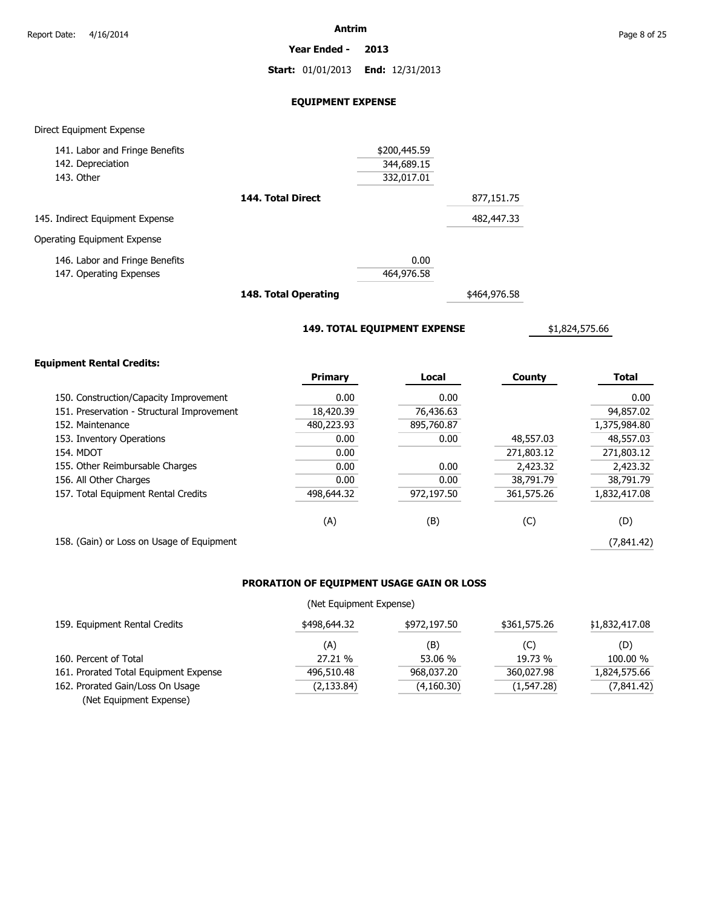**Year Ended - 2013**

**Start:** 01/01/2013 **End:** 12/31/2013

### **EQUIPMENT EXPENSE**

### Direct Equipment Expense

| 141. Labor and Fringe Benefits  |                   | \$200,445.59 |            |
|---------------------------------|-------------------|--------------|------------|
| 142. Depreciation               |                   | 344,689.15   |            |
| 143. Other                      |                   | 332,017.01   |            |
|                                 | 144. Total Direct |              | 877,151.75 |
| 145. Indirect Equipment Expense |                   |              | 482,447.33 |
| Operating Equipment Expense     |                   |              |            |
| 146. Labor and Fringe Benefits  |                   | 0.00         |            |
| 147. Operating Expenses         |                   | 464,976.58   |            |
|                                 |                   |              |            |

**148. Total Operating**

\$464,976.58

**149. TOTAL EQUIPMENT EXPENSE**

\$1,824,575.66

### **Equipment Rental Credits:**

|                                            | <b>Primary</b> | Local      | County     | <b>Total</b> |
|--------------------------------------------|----------------|------------|------------|--------------|
| 150. Construction/Capacity Improvement     | 0.00           | 0.00       |            | 0.00         |
| 151. Preservation - Structural Improvement | 18,420.39      | 76,436.63  |            | 94,857.02    |
| 152. Maintenance                           | 480,223.93     | 895,760.87 |            | 1,375,984.80 |
| 153. Inventory Operations                  | 0.00           | 0.00       | 48,557.03  | 48,557.03    |
| <b>154. MDOT</b>                           | 0.00           |            | 271,803.12 | 271,803.12   |
| 155. Other Reimbursable Charges            | 0.00           | 0.00       | 2,423.32   | 2,423.32     |
| 156. All Other Charges                     | 0.00           | 0.00       | 38,791.79  | 38,791.79    |
| 157. Total Equipment Rental Credits        | 498,644.32     | 972,197.50 | 361,575.26 | 1,832,417.08 |
|                                            | (A)            | (B)        | (C)        | (D)          |
| 158. (Gain) or Loss on Usage of Equipment  |                |            |            | (7,841.42)   |

### **PRORATION OF EQUIPMENT USAGE GAIN OR LOSS**

### (Net Equipment Expense)

| 159. Equipment Rental Credits         | \$498,644.32 | \$972,197.50 | \$361,575.26 | \$1,832,417.08 |
|---------------------------------------|--------------|--------------|--------------|----------------|
|                                       | (A)          | (B)          | (C)          | (D)            |
| 160. Percent of Total                 | 27.21 %      | 53.06 %      | 19.73 %      | 100.00 %       |
| 161. Prorated Total Equipment Expense | 496,510.48   | 968,037,20   | 360.027.98   | 1,824,575.66   |
| 162. Prorated Gain/Loss On Usage      | (2,133.84)   | (4,160.30)   | (1,547.28)   | (7,841.42)     |
| (Net Equipment Expense)               |              |              |              |                |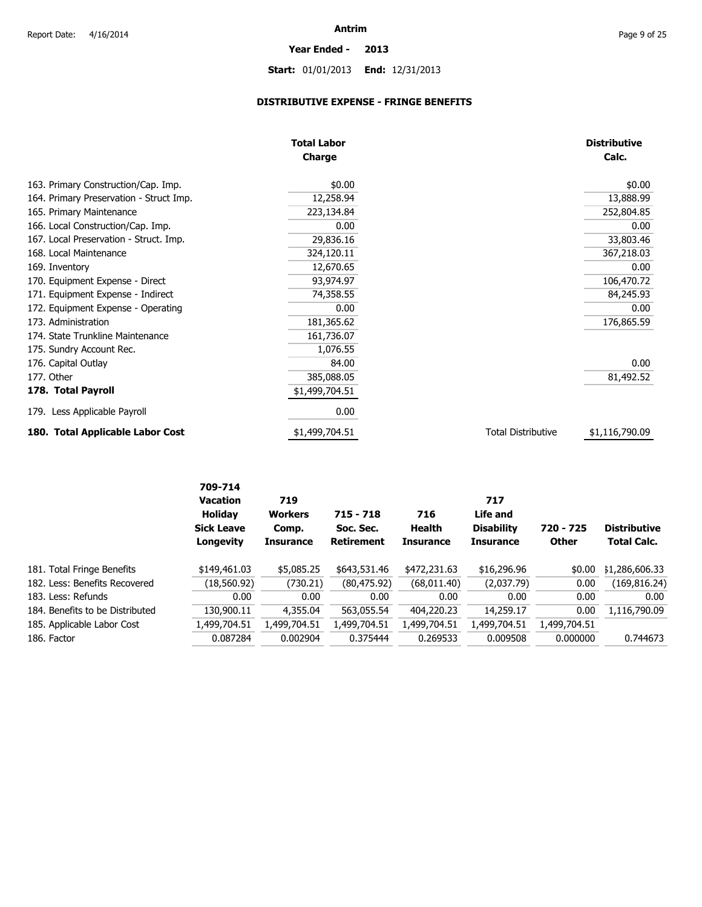# **Start:** 01/01/2013 **End:** 12/31/2013

**Year Ended - 2013**

### **DISTRIBUTIVE EXPENSE - FRINGE BENEFITS**

|                                         | <b>Total Labor</b> |                           | <b>Distributive</b> |
|-----------------------------------------|--------------------|---------------------------|---------------------|
|                                         | <b>Charge</b>      |                           | Calc.               |
| 163. Primary Construction/Cap. Imp.     | \$0.00             |                           | \$0.00              |
| 164. Primary Preservation - Struct Imp. | 12,258.94          |                           | 13,888.99           |
| 165. Primary Maintenance                | 223,134.84         |                           | 252,804.85          |
| 166. Local Construction/Cap. Imp.       | 0.00               |                           | 0.00                |
| 167. Local Preservation - Struct. Imp.  | 29,836.16          |                           | 33,803.46           |
| 168. Local Maintenance                  | 324,120.11         |                           | 367,218.03          |
| 169. Inventory                          | 12,670.65          |                           | 0.00                |
| 170. Equipment Expense - Direct         | 93,974.97          |                           | 106,470.72          |
| 171. Equipment Expense - Indirect       | 74,358.55          |                           | 84,245.93           |
| 172. Equipment Expense - Operating      | 0.00               |                           | 0.00                |
| 173. Administration                     | 181,365.62         |                           | 176,865.59          |
| 174. State Trunkline Maintenance        | 161,736.07         |                           |                     |
| 175. Sundry Account Rec.                | 1,076.55           |                           |                     |
| 176. Capital Outlay                     | 84.00              |                           | 0.00                |
| 177. Other                              | 385,088.05         |                           | 81,492.52           |
| 178. Total Payroll                      | \$1,499,704.51     |                           |                     |
| 179. Less Applicable Payroll            | 0.00               |                           |                     |
| 180. Total Applicable Labor Cost        | \$1,499,704.51     | <b>Total Distributive</b> | \$1,116,790.09      |

|                                 | 709-714<br><b>Vacation</b><br><b>Holiday</b><br><b>Sick Leave</b><br>Longevity | 719<br><b>Workers</b><br>Comp.<br><b>Insurance</b> | $715 - 718$<br>Soc. Sec.<br><b>Retirement</b> | 716<br>Health<br><b>Insurance</b> | 717<br>Life and<br><b>Disability</b><br><b>Insurance</b> | 720 - 725<br><b>Other</b> | <b>Distributive</b><br><b>Total Calc.</b> |
|---------------------------------|--------------------------------------------------------------------------------|----------------------------------------------------|-----------------------------------------------|-----------------------------------|----------------------------------------------------------|---------------------------|-------------------------------------------|
| 181. Total Fringe Benefits      | \$149,461.03                                                                   | \$5,085.25                                         | \$643,531.46                                  | \$472,231.63                      | \$16,296.96                                              | \$0.00                    | \$1,286,606.33                            |
| 182. Less: Benefits Recovered   | (18, 560.92)                                                                   | (730.21)                                           | (80, 475.92)                                  | (68, 011.40)                      | (2,037.79)                                               | 0.00                      | (169, 816.24)                             |
| 183. Less: Refunds              | 0.00                                                                           | 0.00                                               | 0.00                                          | 0.00                              | 0.00                                                     | 0.00                      | 0.00                                      |
| 184. Benefits to be Distributed | 130,900.11                                                                     | 4,355.04                                           | 563,055.54                                    | 404,220.23                        | 14,259.17                                                | 0.00                      | 1,116,790.09                              |
| 185. Applicable Labor Cost      | 1,499,704.51                                                                   | l,499,704.51                                       | 1,499,704.51                                  | 1,499,704.51                      | 1,499,704.51                                             | 1,499,704.51              |                                           |
| 186. Factor                     | 0.087284                                                                       | 0.002904                                           | 0.375444                                      | 0.269533                          | 0.009508                                                 | 0.000000                  | 0.744673                                  |
|                                 |                                                                                |                                                    |                                               |                                   |                                                          |                           |                                           |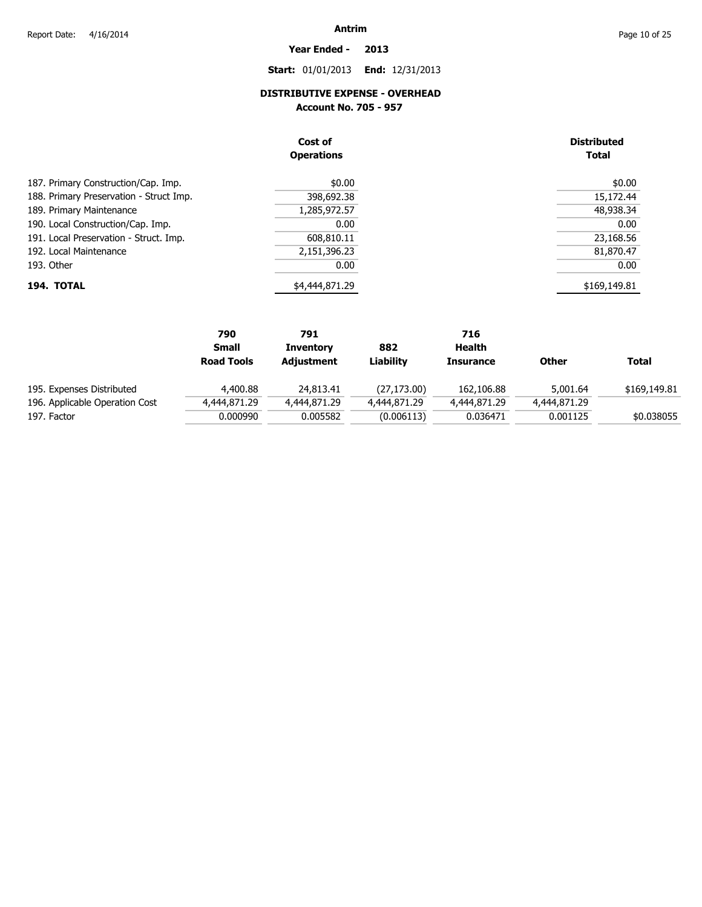### **Start:** 01/01/2013 **End:** 12/31/2013

**Year Ended - 2013**

### **DISTRIBUTIVE EXPENSE - OVERHEAD**

**Account No. 705 - 957** 

|                                         | Cost of<br><b>Operations</b> | <b>Distributed</b><br><b>Total</b> |
|-----------------------------------------|------------------------------|------------------------------------|
| 187. Primary Construction/Cap. Imp.     | \$0.00                       | \$0.00                             |
| 188. Primary Preservation - Struct Imp. | 398,692.38                   | 15,172.44                          |
| 189. Primary Maintenance                | 1,285,972.57                 | 48,938.34                          |
| 190. Local Construction/Cap. Imp.       | 0.00                         | 0.00                               |
| 191. Local Preservation - Struct. Imp.  | 608,810.11                   | 23,168.56                          |
| 192. Local Maintenance                  | 2,151,396.23                 | 81,870.47                          |
| 193. Other                              | 0.00                         | 0.00                               |
| 194. TOTAL                              | \$4,444,871.29               | \$169,149.81                       |

|                                | 790               | 791              |              | 716              |              |              |
|--------------------------------|-------------------|------------------|--------------|------------------|--------------|--------------|
|                                | <b>Small</b>      | <b>Inventory</b> | 882          | Health           |              |              |
|                                | <b>Road Tools</b> | Adjustment       | Liabilitv    | <b>Insurance</b> | Other        | <b>Total</b> |
| 195. Expenses Distributed      | 4,400.88          | 24,813.41        | (27, 173.00) | 162,106.88       | 5,001.64     | \$169,149.81 |
| 196. Applicable Operation Cost | 4,444,871.29      | 4,444,871.29     | 4,444,871.29 | 4,444,871.29     | 4,444,871.29 |              |
| 197. Factor                    | 0.000990          | 0.005582         | (0.006113)   | 0.036471         | 0.001125     | \$0.038055   |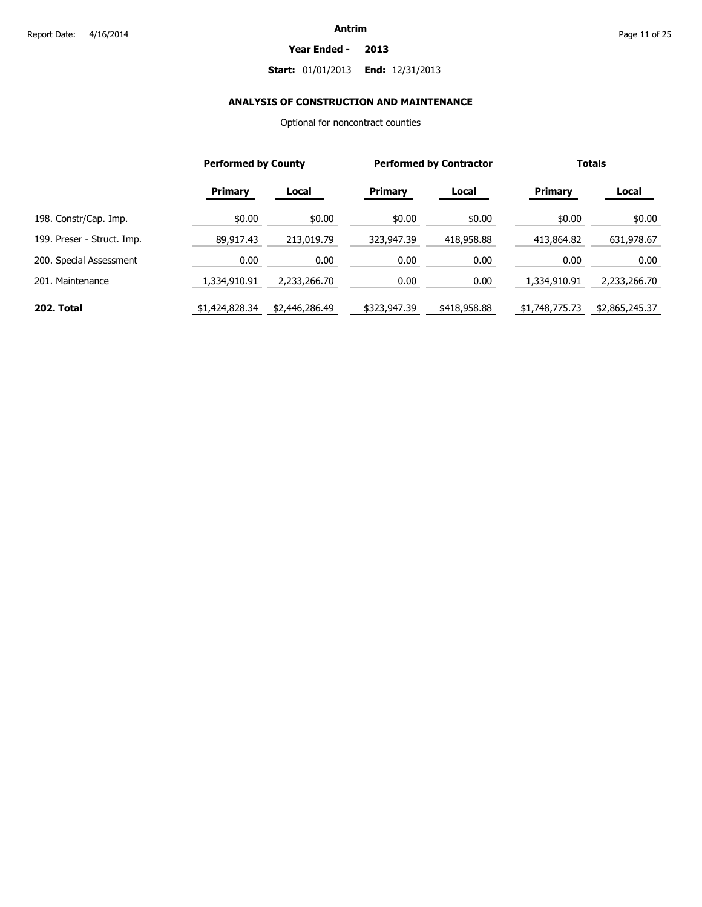#### **Year Ended - 2013**

### **Start:** 01/01/2013 **End:** 12/31/2013

### **ANALYSIS OF CONSTRUCTION AND MAINTENANCE**

Optional for noncontract counties

|                            | <b>Performed by County</b> |                |                | <b>Performed by Contractor</b> |                | <b>Totals</b>  |  |
|----------------------------|----------------------------|----------------|----------------|--------------------------------|----------------|----------------|--|
|                            | <b>Primary</b>             | Local          | <b>Primary</b> | Local                          | <b>Primary</b> | Local          |  |
| 198. Constr/Cap. Imp.      | \$0.00                     | \$0.00         | \$0.00         | \$0.00                         | \$0.00         | \$0.00         |  |
| 199. Preser - Struct. Imp. | 89,917.43                  | 213,019.79     | 323,947.39     | 418,958.88                     | 413,864.82     | 631,978.67     |  |
| 200. Special Assessment    | 0.00                       | 0.00           | 0.00           | 0.00                           | 0.00           | 0.00           |  |
| 201. Maintenance           | 1,334,910.91               | 2,233,266.70   | 0.00           | 0.00                           | 1,334,910.91   | 2,233,266.70   |  |
| 202. Total                 | \$1,424,828.34             | \$2,446,286.49 | \$323,947.39   | \$418,958.88                   | \$1,748,775.73 | \$2,865,245.37 |  |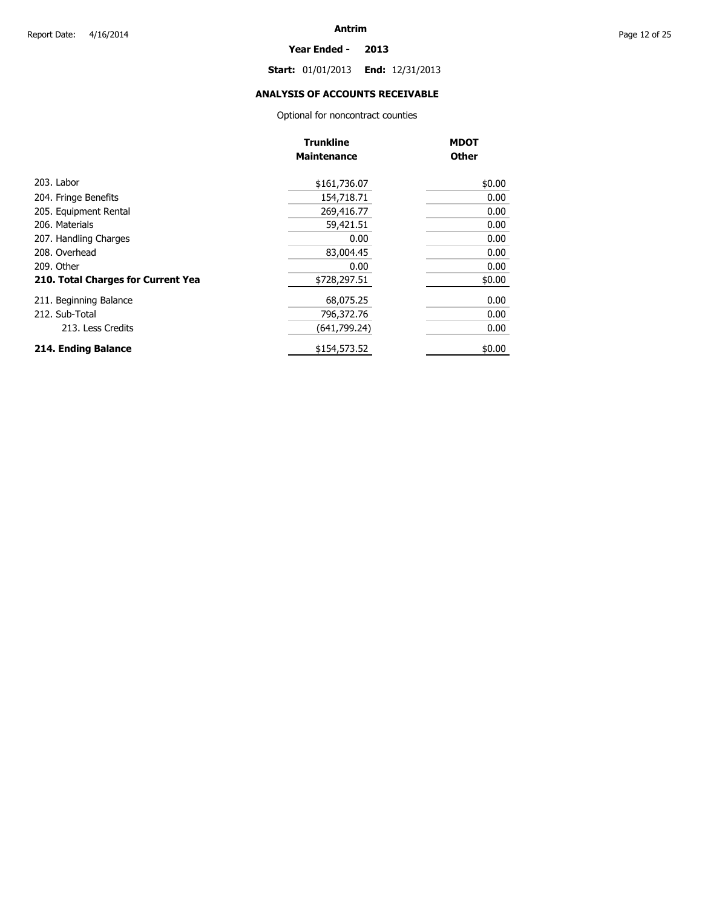#### **Year Ended - 2013**

**Start:** 01/01/2013 **End:** 12/31/2013

### **ANALYSIS OF ACCOUNTS RECEIVABLE**

Optional for noncontract counties

|                                    | <b>Trunkline</b>   | <b>MDOT</b>  |
|------------------------------------|--------------------|--------------|
|                                    | <b>Maintenance</b> | <b>Other</b> |
| 203. Labor                         | \$161,736.07       | \$0.00       |
| 204. Fringe Benefits               | 154,718.71         | 0.00         |
| 205. Equipment Rental              | 269,416.77         | 0.00         |
| 206. Materials                     | 59,421.51          | 0.00         |
| 207. Handling Charges              | 0.00               | 0.00         |
| 208. Overhead                      | 83,004.45          | 0.00         |
| 209. Other                         | 0.00               | 0.00         |
| 210. Total Charges for Current Yea | \$728,297.51       | \$0.00       |
| 211. Beginning Balance             | 68,075.25          | 0.00         |
| 212. Sub-Total                     | 796,372.76         | 0.00         |
| 213. Less Credits                  | (641,799.24)       | 0.00         |
| 214. Ending Balance                | \$154,573.52       | \$0.00       |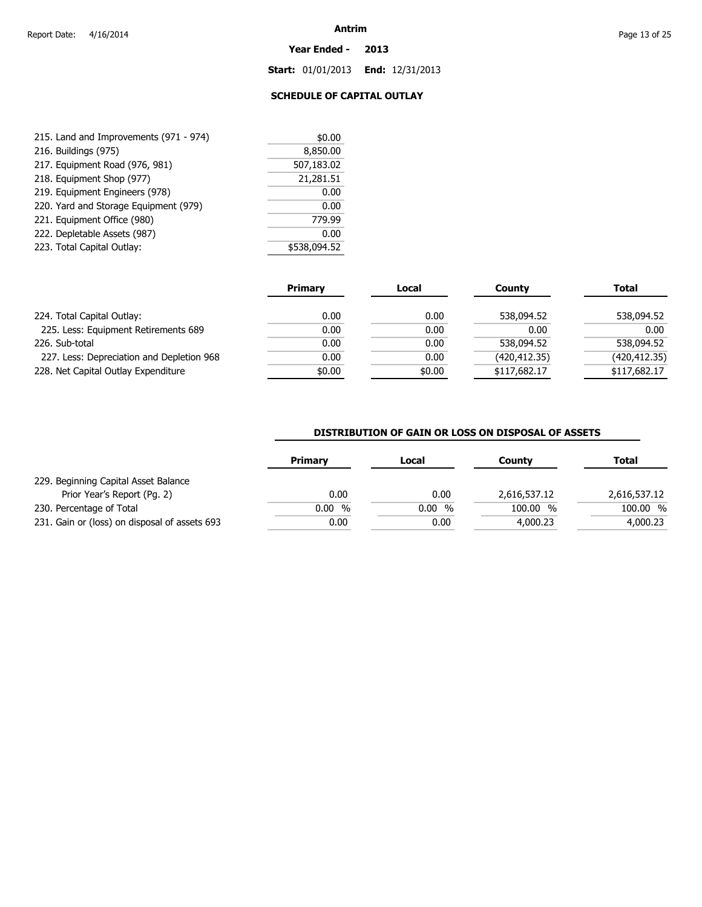#### **Year Ended - 2013**

**Start:** 01/01/2013 **End:** 12/31/2013

### **SCHEDULE OF CAPITAL OUTLAY**

| 215. Land and Improvements (971 - 974) | \$0.00       |
|----------------------------------------|--------------|
| 216. Buildings (975)                   | 8,850.00     |
| 217. Equipment Road (976, 981)         | 507,183.02   |
| 218. Equipment Shop (977)              | 21,281.51    |
| 219. Equipment Engineers (978)         | 0.00         |
| 220. Yard and Storage Equipment (979)  | 0.00         |
| 221. Equipment Office (980)            | 779.99       |
| 222. Depletable Assets (987)           | 0.00         |
| 223. Total Capital Outlay:             | \$538,094.52 |

|                                           | <b>Primary</b> | Local  | County        | <b>Total</b>  |
|-------------------------------------------|----------------|--------|---------------|---------------|
| 224. Total Capital Outlay:                | 0.00           | 0.00   | 538,094.52    | 538,094.52    |
| 225. Less: Equipment Retirements 689      | 0.00           | 0.00   | 0.00          | 0.00          |
| 226. Sub-total                            | 0.00           | 0.00   | 538,094.52    | 538,094.52    |
| 227. Less: Depreciation and Depletion 968 | 0.00           | 0.00   | (420, 412.35) | (420, 412.35) |
| 228. Net Capital Outlay Expenditure       | \$0.00         | \$0.00 | \$117,682.17  | \$117,682.17  |

### **DISTRIBUTION OF GAIN OR LOSS ON DISPOSAL OF ASSETS**

| <b>Primary</b> | Local | County       | <b>Total</b> |
|----------------|-------|--------------|--------------|
|                |       |              |              |
| 0.00           | 0.00  | 2,616,537.12 | 2,616,537.12 |
| 0.00%          | 0.00% | 100.00 %     | 100.00 %     |
| 0.00           | 0.00  | 4,000.23     | 4,000.23     |
|                |       |              |              |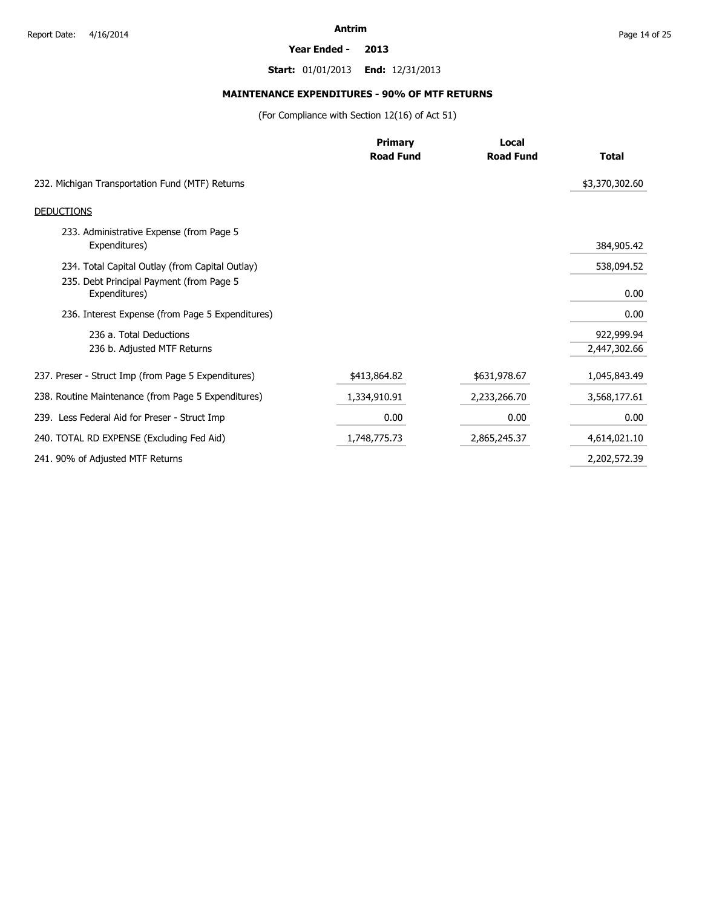#### **Year Ended - 2013**

**Start:** 01/01/2013 **End:** 12/31/2013

### **MAINTENANCE EXPENDITURES - 90% OF MTF RETURNS**

(For Compliance with Section 12(16) of Act 51)

|                                                           | <b>Primary</b>   | Local            |                |
|-----------------------------------------------------------|------------------|------------------|----------------|
|                                                           | <b>Road Fund</b> | <b>Road Fund</b> | <b>Total</b>   |
| 232. Michigan Transportation Fund (MTF) Returns           |                  |                  | \$3,370,302.60 |
| <b>DEDUCTIONS</b>                                         |                  |                  |                |
| 233. Administrative Expense (from Page 5<br>Expenditures) |                  |                  | 384,905.42     |
| 234. Total Capital Outlay (from Capital Outlay)           |                  |                  | 538,094.52     |
| 235. Debt Principal Payment (from Page 5<br>Expenditures) |                  |                  | 0.00           |
| 236. Interest Expense (from Page 5 Expenditures)          |                  |                  | 0.00           |
| 236 a. Total Deductions                                   |                  |                  | 922,999.94     |
| 236 b. Adjusted MTF Returns                               |                  |                  | 2,447,302.66   |
| 237. Preser - Struct Imp (from Page 5 Expenditures)       | \$413,864.82     | \$631,978.67     | 1,045,843.49   |
| 238. Routine Maintenance (from Page 5 Expenditures)       | 1,334,910.91     | 2,233,266.70     | 3,568,177.61   |
| 239. Less Federal Aid for Preser - Struct Imp             | 0.00             | 0.00             | 0.00           |
| 240. TOTAL RD EXPENSE (Excluding Fed Aid)                 | 1,748,775.73     | 2,865,245.37     | 4,614,021.10   |
| 241. 90% of Adjusted MTF Returns                          |                  |                  | 2,202,572.39   |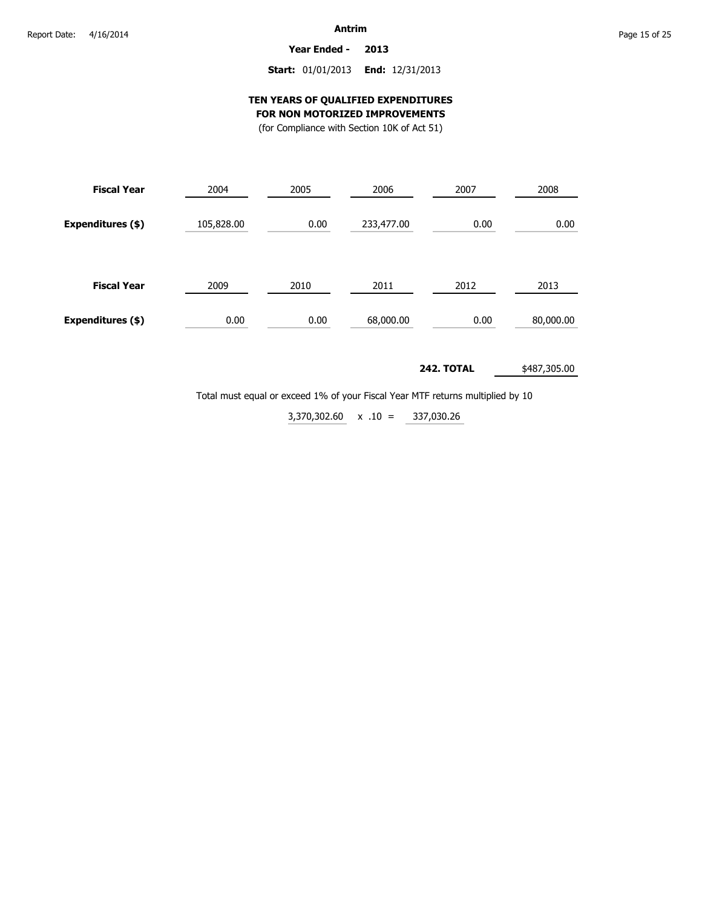**Year Ended - 2013**

### **Start:** 01/01/2013 **End:** 12/31/2013

### **TEN YEARS OF QUALIFIED EXPENDITURES FOR NON MOTORIZED IMPROVEMENTS**

(for Compliance with Section 10K of Act 51)

| <b>Fiscal Year</b> | 2004       | 2005 | 2006       | 2007 | 2008      |  |
|--------------------|------------|------|------------|------|-----------|--|
| Expenditures (\$)  | 105,828.00 | 0.00 | 233,477.00 | 0.00 | 0.00      |  |
| <b>Fiscal Year</b> | 2009       | 2010 | 2011       | 2012 | 2013      |  |
| Expenditures (\$)  | 0.00       | 0.00 | 68,000.00  | 0.00 | 80,000.00 |  |

**242. TOTAL** \$487,305.00

Total must equal or exceed 1% of your Fiscal Year MTF returns multiplied by 10

337,030.26  $3,370,302.60 \times 0.10 =$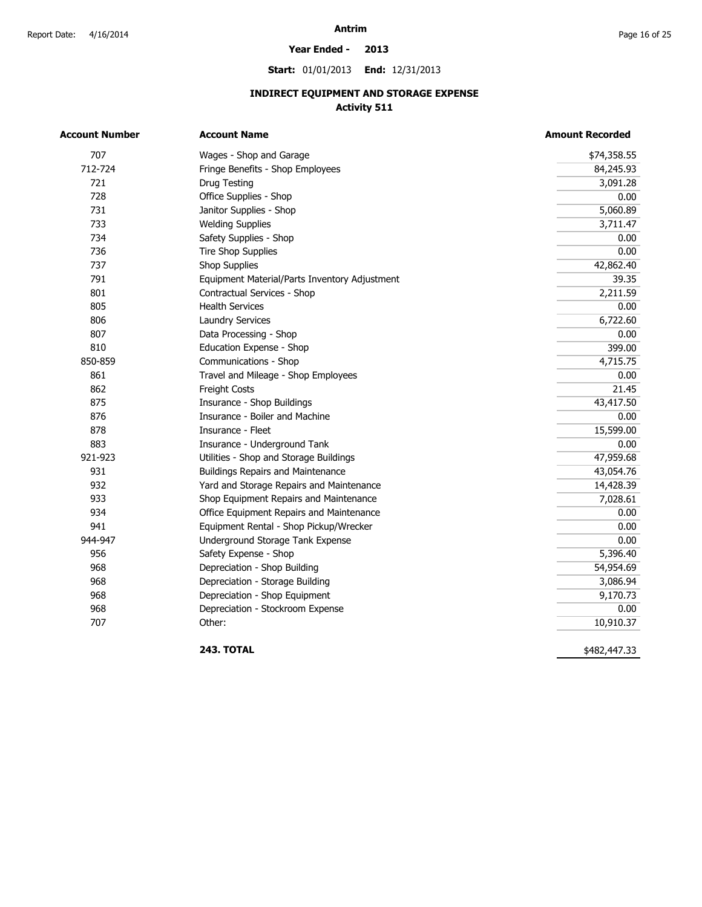#### **Year Ended - 2013**

**Start:** 01/01/2013 **End:** 12/31/2013

### **INDIRECT EQUIPMENT AND STORAGE EXPENSE Activity 511**

| <b>Account Number</b> | <b>Account Name</b>                           | <b>Amount Recorded</b> |  |  |
|-----------------------|-----------------------------------------------|------------------------|--|--|
| 707                   | Wages - Shop and Garage                       | \$74,358.55            |  |  |
| 712-724               | Fringe Benefits - Shop Employees              | 84,245.93              |  |  |
| 721                   | Drug Testing                                  | 3,091.28               |  |  |
| 728                   | Office Supplies - Shop                        | 0.00                   |  |  |
| 731                   | Janitor Supplies - Shop                       | 5,060.89               |  |  |
| 733                   | <b>Welding Supplies</b>                       | 3,711.47               |  |  |
| 734                   | Safety Supplies - Shop                        | 0.00                   |  |  |
| 736                   | <b>Tire Shop Supplies</b>                     | 0.00                   |  |  |
| 737                   | <b>Shop Supplies</b>                          | 42,862.40              |  |  |
| 791                   | Equipment Material/Parts Inventory Adjustment | 39.35                  |  |  |
| 801                   | Contractual Services - Shop                   | 2,211.59               |  |  |
| 805                   | <b>Health Services</b>                        | 0.00                   |  |  |
| 806                   | <b>Laundry Services</b>                       | 6,722.60               |  |  |
| 807                   | Data Processing - Shop                        | 0.00                   |  |  |
| 810                   | Education Expense - Shop                      | 399.00                 |  |  |
| 850-859               | Communications - Shop                         | 4,715.75               |  |  |
| 861                   | Travel and Mileage - Shop Employees           | 0.00                   |  |  |
| 862                   | Freight Costs                                 | 21.45                  |  |  |
| 875                   | Insurance - Shop Buildings                    | 43,417.50              |  |  |
| 876                   | Insurance - Boiler and Machine                | 0.00                   |  |  |
| 878                   | Insurance - Fleet                             | 15,599.00              |  |  |
| 883                   | Insurance - Underground Tank                  | 0.00                   |  |  |
| 921-923               | Utilities - Shop and Storage Buildings        | 47,959.68              |  |  |
| 931                   | <b>Buildings Repairs and Maintenance</b>      | 43,054.76              |  |  |
| 932                   | Yard and Storage Repairs and Maintenance      | 14,428.39              |  |  |
| 933                   | Shop Equipment Repairs and Maintenance        | 7,028.61               |  |  |
| 934                   | Office Equipment Repairs and Maintenance      | 0.00                   |  |  |
| 941                   | Equipment Rental - Shop Pickup/Wrecker        | 0.00                   |  |  |
| 944-947               | Underground Storage Tank Expense              | 0.00                   |  |  |
| 956                   | Safety Expense - Shop                         | 5,396.40               |  |  |
| 968                   | Depreciation - Shop Building                  | 54,954.69              |  |  |
| 968                   | Depreciation - Storage Building               | 3,086.94               |  |  |
| 968                   | Depreciation - Shop Equipment                 | 9,170.73               |  |  |
| 968                   | Depreciation - Stockroom Expense              | 0.00                   |  |  |
| 707                   | Other:                                        | 10,910.37              |  |  |

**243. TOTAL** 

\$482,447.33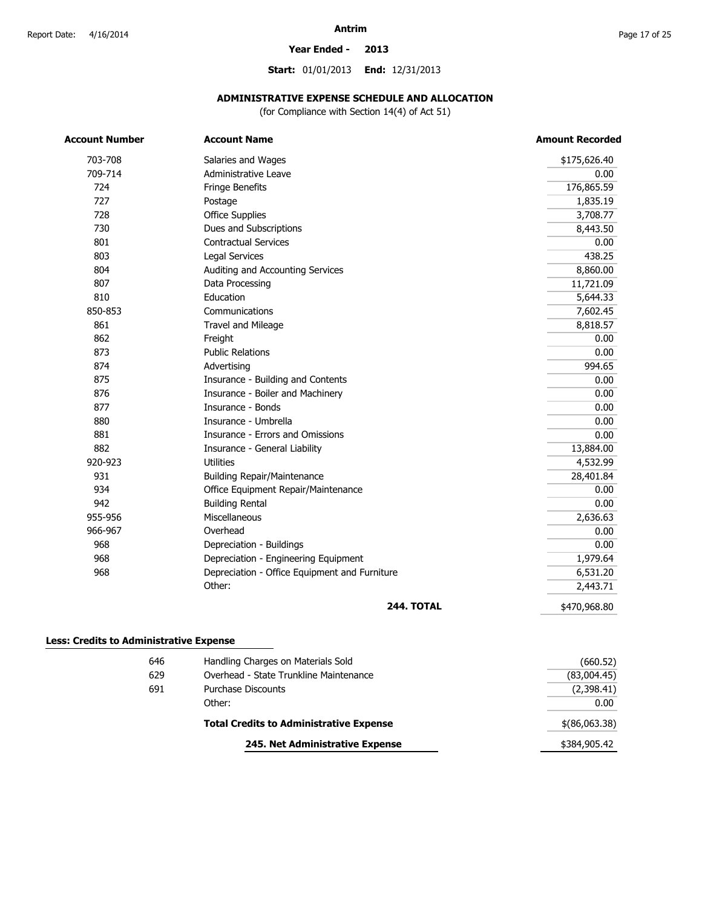#### **Year Ended - 2013**

**Start:** 01/01/2013 **End:** 12/31/2013

### **ADMINISTRATIVE EXPENSE SCHEDULE AND ALLOCATION**

(for Compliance with Section 14(4) of Act 51)

| <b>Account Number</b> | <b>Account Name</b>                           | <b>Amount Recorded</b> |
|-----------------------|-----------------------------------------------|------------------------|
| 703-708               | Salaries and Wages                            | \$175,626.40           |
| 709-714               | Administrative Leave                          | 0.00                   |
| 724                   | Fringe Benefits                               | 176,865.59             |
| 727                   | Postage                                       | 1,835.19               |
| 728                   | <b>Office Supplies</b>                        | 3,708.77               |
| 730                   | Dues and Subscriptions                        | 8,443.50               |
| 801                   | <b>Contractual Services</b>                   | 0.00                   |
| 803                   | <b>Legal Services</b>                         | 438.25                 |
| 804                   | Auditing and Accounting Services              | 8,860.00               |
| 807                   | Data Processing                               | 11,721.09              |
| 810                   | Education                                     | 5,644.33               |
| 850-853               | Communications                                | 7,602.45               |
| 861                   | Travel and Mileage                            | 8,818.57               |
| 862                   | Freight                                       | 0.00                   |
| 873                   | <b>Public Relations</b>                       | 0.00                   |
| 874                   | Advertising                                   | 994.65                 |
| 875                   | Insurance - Building and Contents             | 0.00                   |
| 876                   | Insurance - Boiler and Machinery              | 0.00                   |
| 877                   | Insurance - Bonds                             | 0.00                   |
| 880                   | Insurance - Umbrella                          | 0.00                   |
| 881                   | Insurance - Errors and Omissions              | 0.00                   |
| 882                   | Insurance - General Liability                 | 13,884.00              |
| 920-923               | <b>Utilities</b>                              | 4,532.99               |
| 931                   | <b>Building Repair/Maintenance</b>            | 28,401.84              |
| 934                   | Office Equipment Repair/Maintenance           | 0.00                   |
| 942                   | <b>Building Rental</b>                        | 0.00                   |
| 955-956               | Miscellaneous                                 | 2,636.63               |
| 966-967               | Overhead                                      | 0.00                   |
| 968                   | Depreciation - Buildings                      | 0.00                   |
| 968                   | Depreciation - Engineering Equipment          | 1,979.64               |
| 968                   | Depreciation - Office Equipment and Furniture | 6,531.20               |
|                       | Other:                                        | 2,443.71               |
|                       | <b>244. TOTAL</b>                             | \$470,968.80           |

### **Less: Credits to Administrative Expense**

|     | 245. Net Administrative Expense                | \$384,905.42  |
|-----|------------------------------------------------|---------------|
|     | <b>Total Credits to Administrative Expense</b> | \$(86,063.38) |
|     | Other:                                         | 0.00          |
| 691 | <b>Purchase Discounts</b>                      | (2,398.41)    |
| 629 | Overhead - State Trunkline Maintenance         | (83,004.45)   |
| 646 | Handling Charges on Materials Sold             | (660.52)      |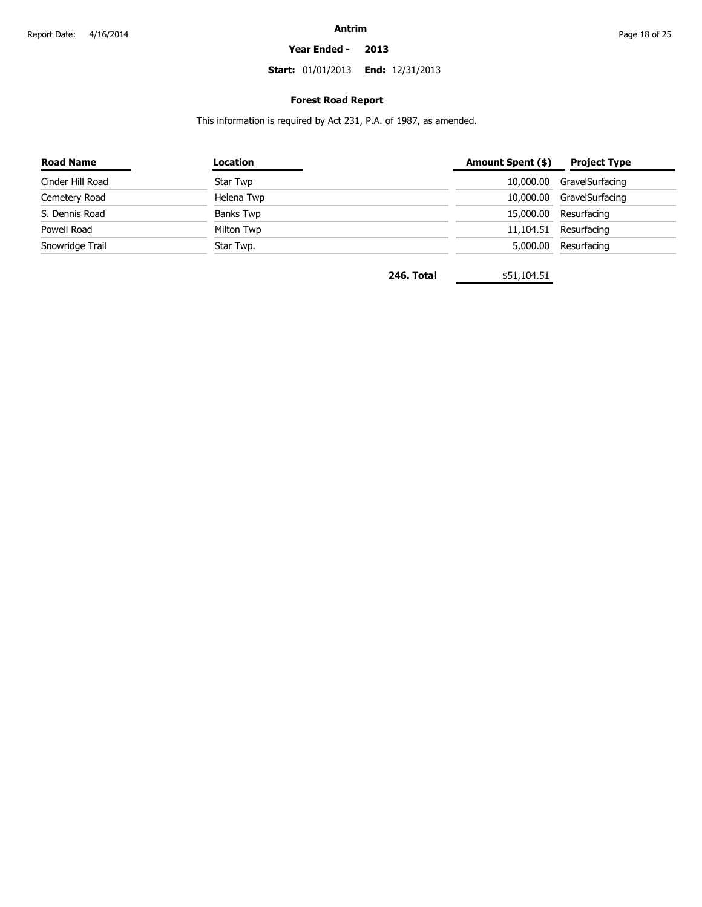#### **Year Ended - 2013**

**Start:** 01/01/2013 **End:** 12/31/2013

### **Forest Road Report**

This information is required by Act 231, P.A. of 1987, as amended.

| Location   | Amount Spent (\$) | Project Type              |
|------------|-------------------|---------------------------|
| Star Twp   |                   | 10,000.00 GravelSurfacing |
| Helena Twp |                   | 10,000.00 GravelSurfacing |
| Banks Twp  |                   | 15,000.00 Resurfacing     |
| Milton Twp |                   | 11,104.51 Resurfacing     |
| Star Twp.  | 5,000.00          | Resurfacing               |
|            |                   |                           |

**246. Total** \$51,104.51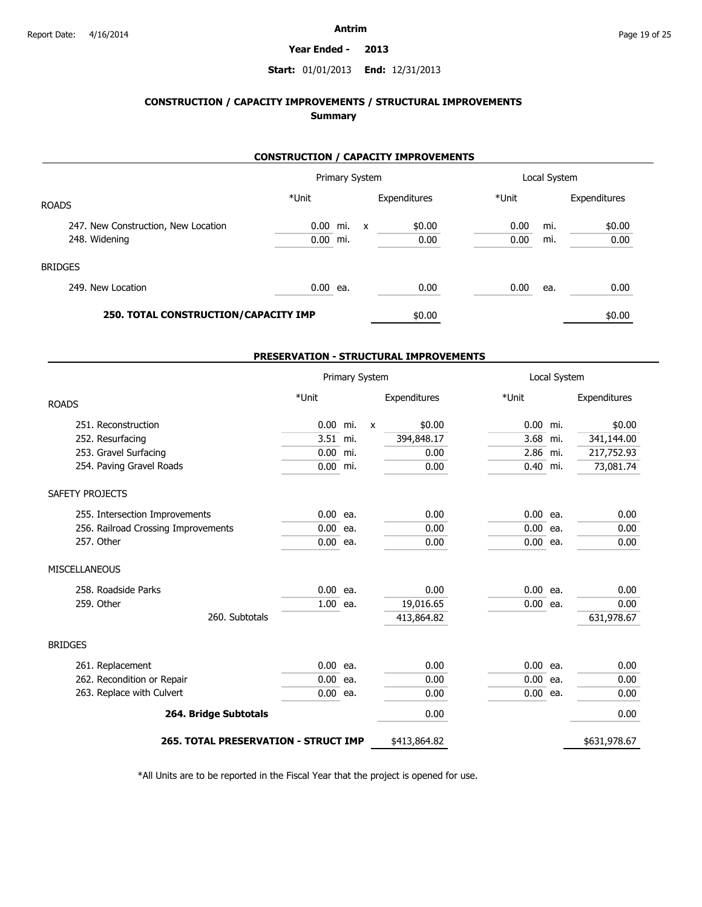#### **Year Ended - 2013**

### **Start:** 01/01/2013 **End:** 12/31/2013

### **CONSTRUCTION / CAPACITY IMPROVEMENTS / STRUCTURAL IMPROVEMENTS Summary**

### **CONSTRUCTION / CAPACITY IMPROVEMENTS**

|                                      | Primary System |  | Local System |              |       |     |              |
|--------------------------------------|----------------|--|--------------|--------------|-------|-----|--------------|
| <b>ROADS</b>                         | *Unit          |  |              | Expenditures | *Unit |     | Expenditures |
| 247. New Construction, New Location  | $0.00$ mi.     |  | $\mathsf{x}$ | \$0.00       | 0.00  | mi. | \$0.00       |
| 248. Widening                        | $0.00$ mi.     |  |              | 0.00         | 0.00  | mi. | 0.00         |
| <b>BRIDGES</b>                       |                |  |              |              |       |     |              |
| 249. New Location                    | 0.00 ea.       |  |              | 0.00         | 0.00  | ea. | 0.00         |
| 250. TOTAL CONSTRUCTION/CAPACITY IMP |                |  |              | \$0.00       |       |     | \$0.00       |

#### **PRESERVATION - STRUCTURAL IMPROVEMENTS**

|                                             |            | Primary System |              |              | Local System |  |              |  |
|---------------------------------------------|------------|----------------|--------------|--------------|--------------|--|--------------|--|
| <b>ROADS</b>                                | *Unit      |                |              | Expenditures | *Unit        |  | Expenditures |  |
| 251. Reconstruction                         | $0.00$ mi. |                | $\mathsf{x}$ | \$0.00       | $0.00$ mi.   |  | \$0.00       |  |
| 252. Resurfacing                            | 3.51 mi.   |                |              | 394,848.17   | 3.68 mi.     |  | 341,144.00   |  |
| 253. Gravel Surfacing                       | $0.00$ mi. |                |              | 0.00         | 2.86 mi.     |  | 217,752.93   |  |
| 254. Paving Gravel Roads                    | $0.00$ mi. |                |              | 0.00         | $0.40$ mi.   |  | 73,081.74    |  |
| SAFETY PROJECTS                             |            |                |              |              |              |  |              |  |
| 255. Intersection Improvements              | $0.00$ ea. |                |              | 0.00         | $0.00$ ea.   |  | 0.00         |  |
| 256. Railroad Crossing Improvements         | $0.00$ ea. |                |              | 0.00         | $0.00$ ea.   |  | 0.00         |  |
| 257. Other                                  | $0.00$ ea. |                |              | 0.00         | $0.00$ ea.   |  | 0.00         |  |
| MISCELLANEOUS                               |            |                |              |              |              |  |              |  |
| 258. Roadside Parks                         | $0.00$ ea. |                |              | 0.00         | $0.00$ ea.   |  | 0.00         |  |
| 259. Other                                  | 1.00 ea.   |                |              | 19,016.65    | $0.00$ ea.   |  | 0.00         |  |
| 260. Subtotals                              |            |                |              | 413,864.82   |              |  | 631,978.67   |  |
| <b>BRIDGES</b>                              |            |                |              |              |              |  |              |  |
| 261. Replacement                            | $0.00$ ea. |                |              | 0.00         | $0.00$ ea.   |  | 0.00         |  |
| 262. Recondition or Repair                  | $0.00$ ea. |                |              | 0.00         | $0.00$ ea.   |  | 0.00         |  |
| 263. Replace with Culvert                   | $0.00$ ea. |                |              | 0.00         | $0.00$ ea.   |  | 0.00         |  |
| 264. Bridge Subtotals                       |            |                |              | 0.00         |              |  | 0.00         |  |
| <b>265. TOTAL PRESERVATION - STRUCT IMP</b> |            |                |              | \$413,864.82 |              |  | \$631,978.67 |  |

\*All Units are to be reported in the Fiscal Year that the project is opened for use.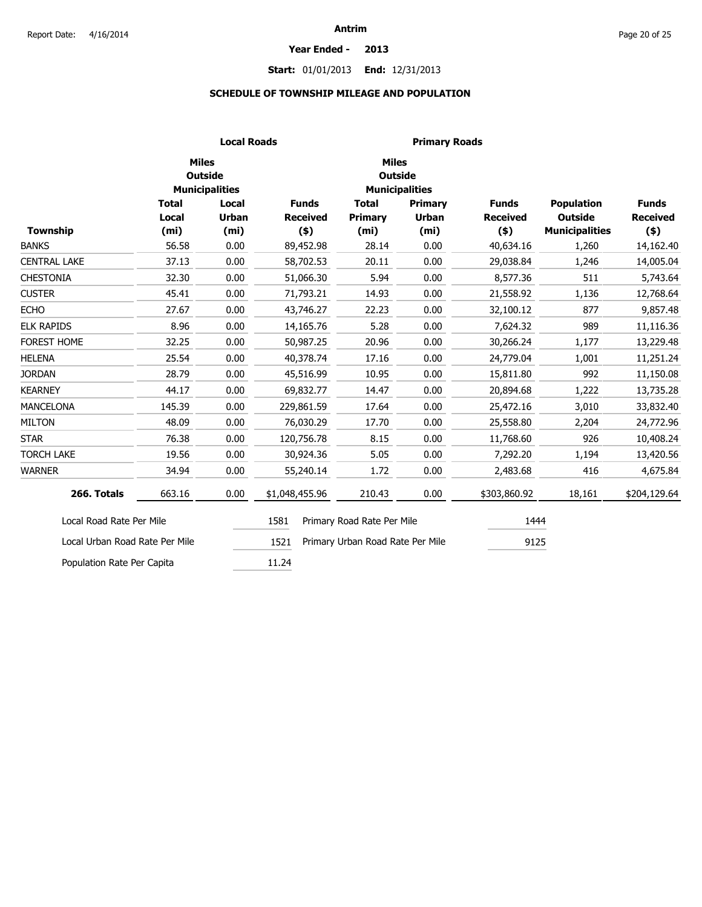#### **Year Ended - 2013**

### **Start:** 01/01/2013 **End:** 12/31/2013

### **SCHEDULE OF TOWNSHIP MILEAGE AND POPULATION**

|                                |                   | <b>Local Roads</b>                      | <b>Primary Roads</b>               |                                  |                       |                 |                       |                 |  |  |
|--------------------------------|-------------------|-----------------------------------------|------------------------------------|----------------------------------|-----------------------|-----------------|-----------------------|-----------------|--|--|
|                                | <b>Miles</b>      | <b>Outside</b><br><b>Municipalities</b> |                                    | <b>Miles</b><br><b>Outside</b>   | <b>Municipalities</b> |                 |                       |                 |  |  |
|                                | <b>Total</b>      | Local                                   | <b>Funds</b>                       | <b>Total</b>                     | Primary               | <b>Funds</b>    | <b>Population</b>     | <b>Funds</b>    |  |  |
|                                | Local             | <b>Urban</b>                            | <b>Received</b>                    | Primary                          | <b>Urban</b>          | <b>Received</b> | <b>Outside</b>        | <b>Received</b> |  |  |
| <b>Township</b>                | (m <sub>i</sub> ) | (m <sub>i</sub> )                       | $($ \$)                            | (m <sub>i</sub> )                | (m <sub>i</sub> )     | $($ \$)         | <b>Municipalities</b> | $($ \$)         |  |  |
| <b>BANKS</b>                   | 56.58             | 0.00                                    | 89,452.98                          | 28.14                            | 0.00                  | 40,634.16       | 1,260                 | 14,162.40       |  |  |
| <b>CENTRAL LAKE</b>            | 37.13             | 0.00                                    | 58,702.53                          | 20.11                            | 0.00                  | 29,038.84       | 1,246                 | 14,005.04       |  |  |
| <b>CHESTONIA</b>               | 32.30             | 0.00                                    | 51,066.30                          | 5.94                             | 0.00                  | 8,577.36        | 511                   | 5,743.64        |  |  |
| <b>CUSTER</b>                  | 45.41             | 0.00                                    | 71,793.21                          | 14.93                            | 0.00                  | 21,558.92       | 1,136                 | 12,768.64       |  |  |
| <b>ECHO</b>                    | 27.67             | 0.00                                    | 43,746.27                          | 22.23                            | 0.00                  | 32,100.12       | 877                   | 9,857.48        |  |  |
| <b>ELK RAPIDS</b>              | 8.96              | 0.00                                    | 14,165.76                          | 5.28                             | 0.00                  | 7,624.32        | 989                   | 11,116.36       |  |  |
| FOREST HOME                    | 32.25             | 0.00                                    | 50,987.25                          | 20.96                            | 0.00                  | 30,266.24       | 1,177                 | 13,229.48       |  |  |
| <b>HELENA</b>                  | 25.54             | 0.00                                    | 40,378.74                          | 17.16                            | 0.00                  | 24,779.04       | 1,001                 | 11,251.24       |  |  |
| <b>JORDAN</b>                  | 28.79             | 0.00                                    | 45,516.99                          | 10.95                            | 0.00                  | 15,811.80       | 992                   | 11,150.08       |  |  |
| <b>KEARNEY</b>                 | 44.17             | 0.00                                    | 69,832.77                          | 14.47                            | 0.00                  | 20,894.68       | 1,222                 | 13,735.28       |  |  |
| <b>MANCELONA</b>               | 145.39            | 0.00                                    | 229,861.59                         | 17.64                            | 0.00                  | 25,472.16       | 3,010                 | 33,832.40       |  |  |
| <b>MILTON</b>                  | 48.09             | 0.00                                    | 76,030.29                          | 17.70                            | 0.00                  | 25,558.80       | 2,204                 | 24,772.96       |  |  |
| <b>STAR</b>                    | 76.38             | 0.00                                    | 120,756.78                         | 8.15                             | 0.00                  | 11,768.60       | 926                   | 10,408.24       |  |  |
| <b>TORCH LAKE</b>              | 19.56             | 0.00                                    | 30,924.36                          | 5.05                             | 0.00                  | 7,292.20        | 1,194                 | 13,420.56       |  |  |
| <b>WARNER</b>                  | 34.94             | 0.00                                    | 55,240.14                          | 1.72                             | 0.00                  | 2,483.68        | 416                   | 4,675.84        |  |  |
| 266. Totals                    | 663.16            | 0.00                                    | \$1,048,455.96                     | 210.43                           | 0.00                  | \$303,860.92    | 18,161                | \$204,129.64    |  |  |
| Local Road Rate Per Mile       |                   |                                         | 1581<br>Primary Road Rate Per Mile |                                  |                       | 1444            |                       |                 |  |  |
| Local Urban Road Rate Per Mile |                   |                                         | 1521                               | Primary Urban Road Rate Per Mile |                       | 9125            |                       |                 |  |  |
| Population Rate Per Capita     |                   |                                         | 11.24                              |                                  |                       |                 |                       |                 |  |  |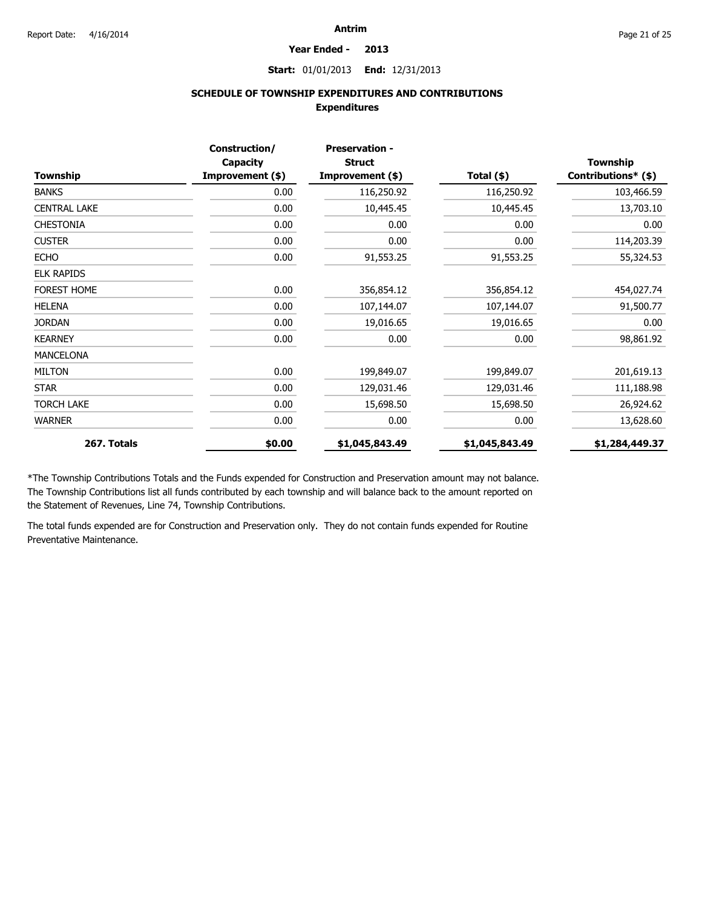#### **Year Ended - 2013**

**Start:** 01/01/2013 **End:** 12/31/2013

### **SCHEDULE OF TOWNSHIP EXPENDITURES AND CONTRIBUTIONS Expenditures**

| Township            | Construction/<br>Capacity<br>Improvement (\$) | <b>Preservation -</b><br><b>Struct</b><br>Improvement (\$) | Total $(*)$    | <b>Township</b><br>Contributions* (\$) |
|---------------------|-----------------------------------------------|------------------------------------------------------------|----------------|----------------------------------------|
| <b>BANKS</b>        | 0.00                                          | 116,250.92                                                 | 116,250.92     | 103,466.59                             |
| <b>CENTRAL LAKE</b> | 0.00                                          | 10,445.45                                                  | 10,445.45      | 13,703.10                              |
| <b>CHESTONIA</b>    | 0.00                                          | 0.00                                                       | 0.00           | 0.00                                   |
| <b>CUSTER</b>       | 0.00                                          | 0.00                                                       | 0.00           | 114,203.39                             |
| <b>ECHO</b>         | 0.00                                          | 91,553.25                                                  | 91,553.25      | 55,324.53                              |
| <b>ELK RAPIDS</b>   |                                               |                                                            |                |                                        |
| FOREST HOME         | 0.00                                          | 356,854.12                                                 | 356,854.12     | 454,027.74                             |
| <b>HELENA</b>       | 0.00                                          | 107,144.07                                                 | 107,144.07     | 91,500.77                              |
| <b>JORDAN</b>       | 0.00                                          | 19,016.65                                                  | 19,016.65      | 0.00                                   |
| <b>KEARNEY</b>      | 0.00                                          | 0.00                                                       | 0.00           | 98,861.92                              |
| <b>MANCELONA</b>    |                                               |                                                            |                |                                        |
| <b>MILTON</b>       | 0.00                                          | 199,849.07                                                 | 199,849.07     | 201,619.13                             |
| <b>STAR</b>         | 0.00                                          | 129,031.46                                                 | 129,031.46     | 111,188.98                             |
| <b>TORCH LAKE</b>   | 0.00                                          | 15,698.50                                                  | 15,698.50      | 26,924.62                              |
| <b>WARNER</b>       | 0.00                                          | 0.00                                                       | 0.00           | 13,628.60                              |
| 267. Totals         | \$0.00                                        | \$1,045,843.49                                             | \$1,045,843.49 | \$1,284,449.37                         |

\*The Township Contributions Totals and the Funds expended for Construction and Preservation amount may not balance. The Township Contributions list all funds contributed by each township and will balance back to the amount reported on the Statement of Revenues, Line 74, Township Contributions.

The total funds expended are for Construction and Preservation only. They do not contain funds expended for Routine Preventative Maintenance.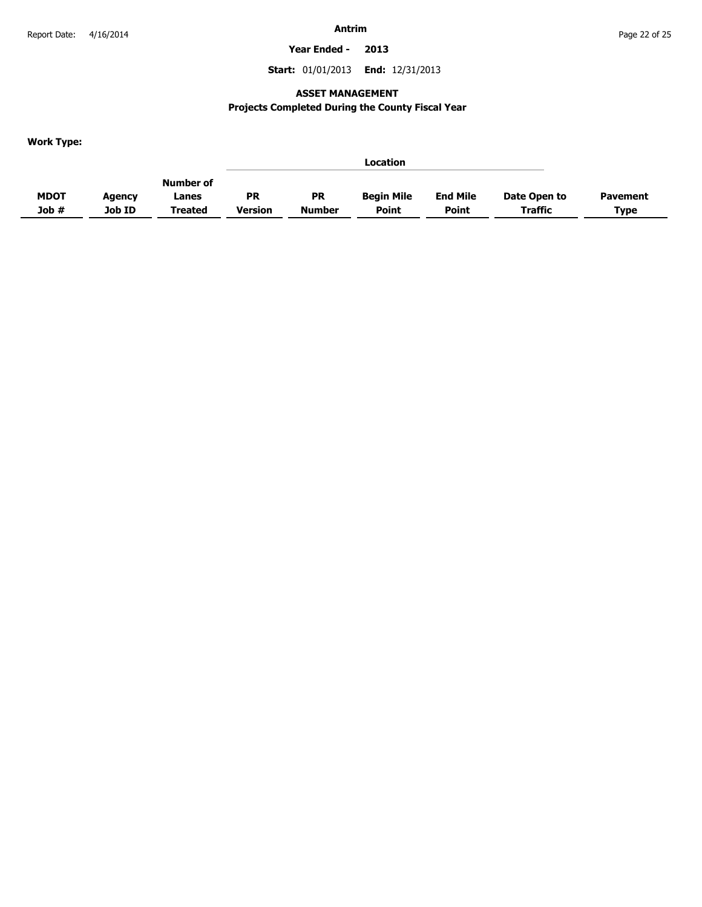**Year Ended - 2013**

**Start:** 01/01/2013 **End:** 12/31/2013

### **ASSET MANAGEMENT**

### **Projects Completed During the County Fiscal Year**

**Work Type:**

|             |        |                |           |               | Location          |                 |                |                 |
|-------------|--------|----------------|-----------|---------------|-------------------|-----------------|----------------|-----------------|
|             |        | Number of      |           |               |                   |                 |                |                 |
| <b>MDOT</b> | Agency | Lanes          | <b>PR</b> | <b>PR</b>     | <b>Begin Mile</b> | <b>End Mile</b> | Date Open to   | <b>Pavement</b> |
| Job #       | Job ID | <b>Treated</b> | Version   | <b>Number</b> | <b>Point</b>      | <b>Point</b>    | <b>Traffic</b> | <b>Type</b>     |
|             |        |                |           |               |                   |                 |                |                 |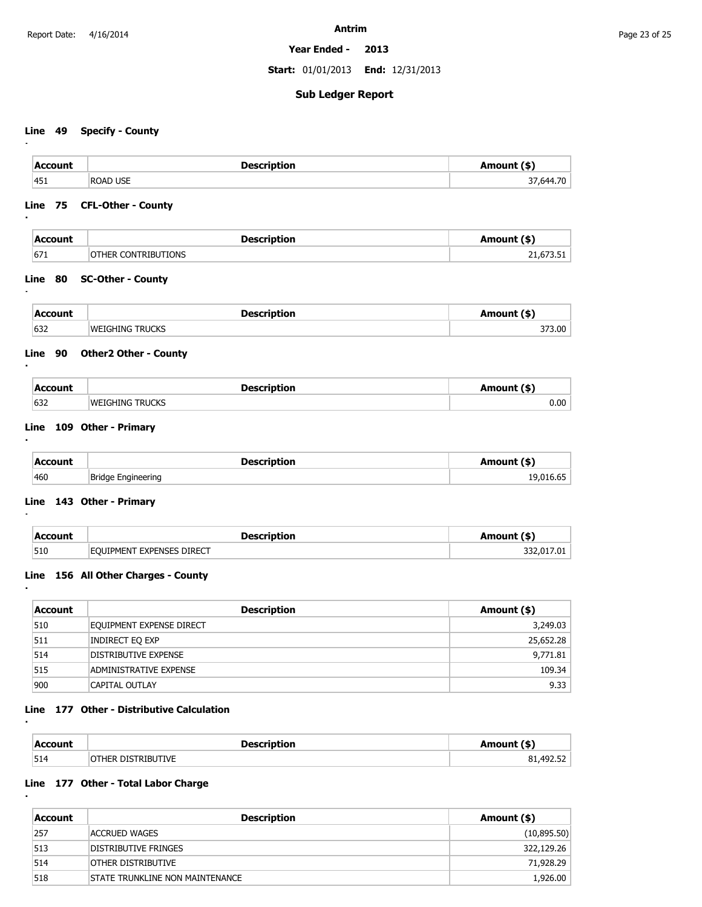**Year Ended - 2013**

**Start:** 01/01/2013 **End:** 12/31/2013

### **Sub Ledger Report**

### **Line 49 Specify - County**

**:**

**:**

**:**

**:**

**:**

**:**

**:**

**:**

**:**

| <b>Account</b> | <b>Description</b>      | Amount (\$) |
|----------------|-------------------------|-------------|
| 1451           | <b>ROAD USE</b><br>$ -$ | 644 70      |

### **Line 75 CFL-Other - County**

| <b>Account</b> | <b>Description</b>         | Amount (\$) |
|----------------|----------------------------|-------------|
| 671            | <b>OTHER CONTRIBUTIONS</b> | 21,673.51   |

### **Line 80 SC-Other - County**

| л,  |                                   |                  |
|-----|-----------------------------------|------------------|
| 632 | יי<br>זו וס־<br>\\/i<br>l Nic<br> | 373.00<br>$\sim$ |

### **Line 90 Other2 Other - County**

| Account | ™ cerintion          | э    |
|---------|----------------------|------|
| 632     | TRUCKS<br>IWFIGHING. | 0.00 |

### **Line 109 Other - Primary**

| <b>Account</b> | <b>Description</b> | Amount (\$) |
|----------------|--------------------|-------------|
| 460            | Bridge Engineering | 19,016.65   |

### **Line 143 Other - Primary**

| Account | Description                                | Amount (\$) |
|---------|--------------------------------------------|-------------|
| 510     | <b>EXPENSES DIRECT</b><br><b>FOUTPMENT</b> | .7.01       |

### **Line 156 All Other Charges - County**

| Account | <b>Description</b>            | Amount (\$) |
|---------|-------------------------------|-------------|
| 510     | EQUIPMENT EXPENSE DIRECT      | 3,249.03    |
| 511     | Indirect Eq exp               | 25,652.28   |
| 514     | DISTRIBUTIVE EXPENSE          | 9,771.81    |
| 515     | <b>ADMINISTRATIVE EXPENSE</b> | 109.34      |
| 900     | <b>CAPITAL OUTLAY</b>         | 9.33        |

### **Line 177 Other - Distributive Calculation**

| <b>Accoun</b> | Description              | $m$ $m+1$ <sup>*</sup> |
|---------------|--------------------------|------------------------|
| 514           | <b>TRIRI ITIVE</b><br>זר | $-$<br>492<br>.        |

### **Line 177 Other - Total Labor Charge**

| Account | <b>Description</b>               | Amount (\$) |
|---------|----------------------------------|-------------|
| 257     | ACCRUED WAGES                    | (10,895.50) |
| 513     | DISTRIBUTIVE FRINGES             | 322,129.26  |
| 514     | OTHER DISTRIBUTIVE               | 71,928.29   |
| 518     | ISTATE TRUNKLINE NON MAINTENANCE | 1,926.00    |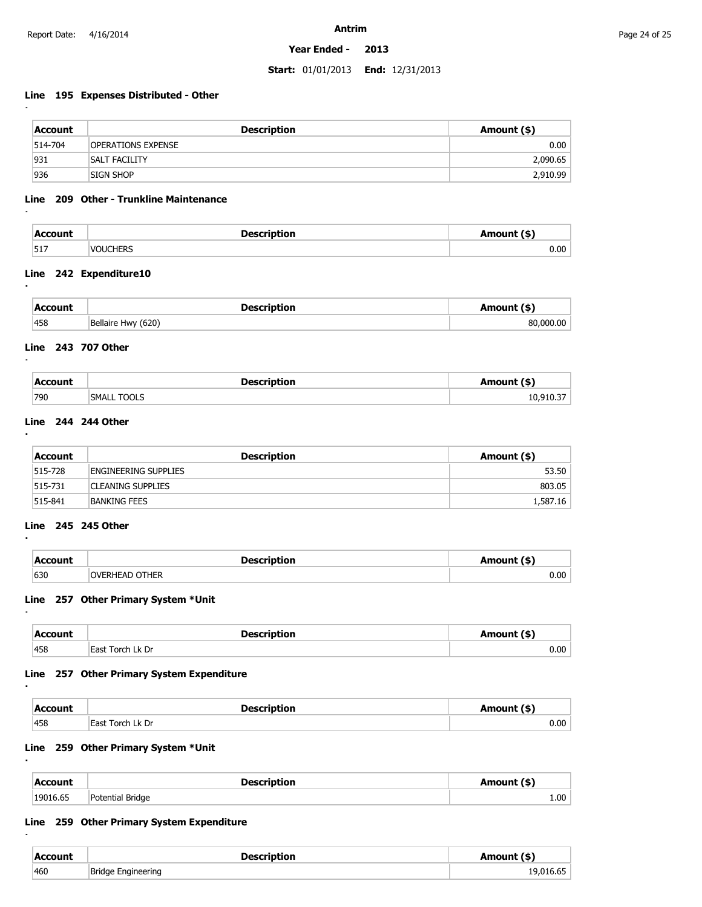**:**

**:**

**:**

**:**

**:**

**:**

**:**

**:**

**:**

**:**

**Antrim**

#### **Year Ended - 2013**

#### **Start:** 01/01/2013 **End:** 12/31/2013

### **Line 195 Expenses Distributed - Other**

| Account | <b>Description</b>        | Amount (\$) |
|---------|---------------------------|-------------|
| 514-704 | <b>OPERATIONS EXPENSE</b> | 0.00        |
| 931     | <b>SALT FACILITY</b>      | 2,090.65    |
| 936     | SIGN SHOP                 | 2,910.99    |

#### **Line 209 Other - Trunkline Maintenance**

| Account<br>_ _ _ _ | Description     | Amount (\$) |
|--------------------|-----------------|-------------|
| 517                | <b>VOUCHERS</b> | 0.00        |

### **Line 242 Expenditure10**

| Account<br>- - - - | <b>Description</b> | Amount (\$) |
|--------------------|--------------------|-------------|
| 458                | Bellaire Hwy (620) | 80.000.00   |

### **Line 243 707 Other**

| $ACCA$<br>_ _ _ _ |    |        |
|-------------------|----|--------|
| 790               | ונ | $\sim$ |

### **Line 244 244 Other**

| Account      | <b>Description</b>          | Amount (\$) |
|--------------|-----------------------------|-------------|
| 515-728      | <b>ENGINEERING SUPPLIES</b> | 53.50       |
| $ 515 - 731$ | <b>CLEANING SUPPLIES</b>    | 803.05      |
| $ 515 - 841$ | BANKING FEES                | 1,587.16    |

### **Line 245 245 Other**

| Account | <b>Description</b>    | Amount (\$) |
|---------|-----------------------|-------------|
| 630     | <b>OVERHEAD OTHER</b> | 0.00        |

### **Line 257 Other Primary System \*Unit**

| ⊥Accoun'<br>- - - - - | Description<br>$ -$      | $im_{\alpha}$ unt $\ell$ c) |
|-----------------------|--------------------------|-----------------------------|
| 458                   | ∣k Dr<br>⊥orch '<br>East | 0.00                        |

### **Line 257 Other Primary System Expenditure**

| <b>Account</b> | <b>Description</b>    | Amount (\$` |
|----------------|-----------------------|-------------|
| 458            | Torch I k Dr<br>⊥East | 0.00        |

### **Line 259 Other Primary System \*Unit**

| Account  | <b>Description</b> | Amount (\$)       |
|----------|--------------------|-------------------|
| 19016.65 | Potential Bridge   | 1.00 <sup>2</sup> |

### **Line 259 Other Primary System Expenditure**

| Account | Description        | Amount (\$)               |
|---------|--------------------|---------------------------|
| 460     | Bridge Engineering | $\sim$ $\sim$<br>- 016 b- |